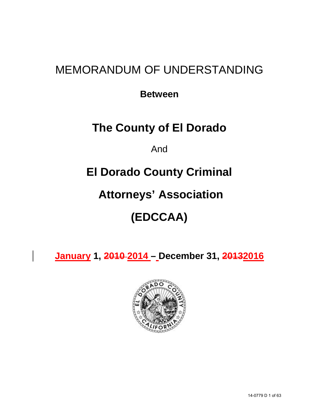## MEMORANDUM OF UNDERSTANDING

**Between**

## **The County of El Dorado**

And

## **El Dorado County Criminal**

## **Attorneys' Association**

# **(EDCCAA)**

**January 1, 2010 2014 – December 31, 20132016**

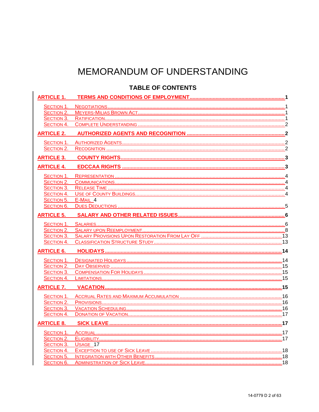## MEMORANDUM OF UNDERSTANDING

### **TABLE OF CONTENTS**

| <b>ARTICLE 1.</b> |                     |  |
|-------------------|---------------------|--|
| SECTION 1.        |                     |  |
| SECTION 2.        |                     |  |
| SECTION 3.        |                     |  |
| SECTION 4.        |                     |  |
| <b>ARTICLE 2.</b> |                     |  |
| SECTION 1.        |                     |  |
| SECTION 2.        |                     |  |
| <b>ARTICLE 3.</b> |                     |  |
| <b>ARTICLE 4.</b> |                     |  |
| SECTION 1.        |                     |  |
| SECTION 2.        |                     |  |
| SECTION 3.        |                     |  |
| SECTION 4.        |                     |  |
| SECTION 5.        | E-MAIL 4            |  |
| <b>SECTION 6.</b> |                     |  |
| <b>ARTICLE 5.</b> |                     |  |
| SECTION 1.        |                     |  |
| SECTION 2.        |                     |  |
| SECTION 3.        |                     |  |
| SECTION 4.        |                     |  |
| <b>ARTICLE 6.</b> |                     |  |
| SECTION 1.        |                     |  |
|                   |                     |  |
| SECTION 3.        |                     |  |
|                   |                     |  |
|                   |                     |  |
|                   |                     |  |
| SECTION 2.        |                     |  |
| SECTION 3.        |                     |  |
| SECTION 4.        |                     |  |
| <b>ARTICLE 8.</b> |                     |  |
|                   |                     |  |
| SECTION 2.        |                     |  |
|                   | SECTION 3. USAGE 17 |  |
| SECTION 4.        |                     |  |
| SECTION 5.        |                     |  |
| SECTION 6.        |                     |  |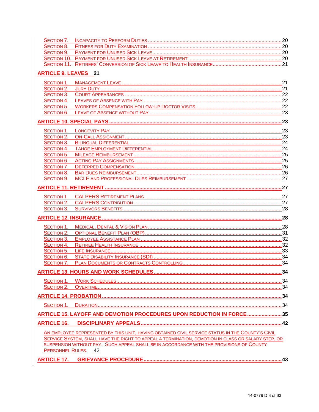| <b>ARTICLE 9. LEAVES 21</b> |                                                                                                    |  |
|-----------------------------|----------------------------------------------------------------------------------------------------|--|
|                             |                                                                                                    |  |
|                             |                                                                                                    |  |
|                             |                                                                                                    |  |
|                             |                                                                                                    |  |
|                             |                                                                                                    |  |
| SECTION 6.                  |                                                                                                    |  |
|                             |                                                                                                    |  |
|                             |                                                                                                    |  |
|                             |                                                                                                    |  |
|                             |                                                                                                    |  |
|                             |                                                                                                    |  |
|                             |                                                                                                    |  |
|                             |                                                                                                    |  |
|                             |                                                                                                    |  |
| SECTION 8.                  |                                                                                                    |  |
| SECTION 9.                  |                                                                                                    |  |
|                             |                                                                                                    |  |
|                             |                                                                                                    |  |
|                             |                                                                                                    |  |
|                             |                                                                                                    |  |
|                             |                                                                                                    |  |
|                             |                                                                                                    |  |
| SECTION 2.                  |                                                                                                    |  |
| SECTION 3.                  |                                                                                                    |  |
|                             |                                                                                                    |  |
|                             |                                                                                                    |  |
| SECTION 6.                  |                                                                                                    |  |
|                             |                                                                                                    |  |
|                             |                                                                                                    |  |
|                             |                                                                                                    |  |
|                             |                                                                                                    |  |
|                             |                                                                                                    |  |
|                             |                                                                                                    |  |
|                             | ARTICLE 15. LAYOFF AND DEMOTION PROCEDURES UPON REDUCTION IN FORCE35                               |  |
|                             |                                                                                                    |  |
| <b>ARTICLE 16.</b>          |                                                                                                    |  |
|                             | AN EMPLOYEE REPRESENTED BY THIS UNIT, HAVING OBTAINED CIVIL SERVICE STATUS IN THE COUNTY'S CIVIL   |  |
|                             | SERVICE SYSTEM, SHALL HAVE THE RIGHT TO APPEAL A TERMINATION, DEMOTION IN CLASS OR SALARY STEP, OR |  |
|                             | SUSPENSION WITHOUT PAY. SUCH APPEAL SHALL BE IN ACCORDANCE WITH THE PROVISIONS OF COUNTY           |  |
|                             | PERSONNEL RULES. 42                                                                                |  |
|                             |                                                                                                    |  |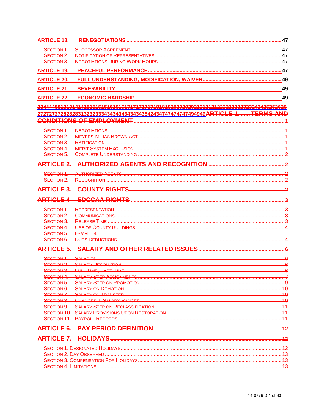| <b>ARTICLE 18.</b> |                                                                                         | .47 |
|--------------------|-----------------------------------------------------------------------------------------|-----|
| SECTION 1.         |                                                                                         |     |
| SECTION 2.         |                                                                                         |     |
| SECTION 3.         |                                                                                         |     |
| <b>ARTICLE 19.</b> |                                                                                         |     |
| <b>ARTICLE 20.</b> |                                                                                         |     |
| <b>ARTICLE 21.</b> |                                                                                         |     |
| <b>ARTICLE 22.</b> |                                                                                         |     |
|                    | 234444581313141415151515161616171717171718181820202020212121212222222232323242425252626 |     |
|                    | 2727272728282831323233343434343434343542434747474747494949ARTICLE 1.  TERMS AND         |     |
|                    |                                                                                         |     |
|                    |                                                                                         |     |
|                    |                                                                                         |     |
| SECTION 3.         |                                                                                         |     |
|                    |                                                                                         |     |
|                    |                                                                                         |     |
|                    |                                                                                         |     |
| SECTION 1          |                                                                                         |     |
|                    |                                                                                         |     |
|                    |                                                                                         |     |
|                    |                                                                                         |     |
|                    |                                                                                         |     |
| SECTION 1.         |                                                                                         |     |
| SECTION 2.         |                                                                                         |     |
|                    | <b>SECTION 3. RELEASE TIME </b>                                                         |     |
| SECTION 4.         |                                                                                         |     |
| <b>SECTION 5.</b>  | $E-MAH$ 4                                                                               |     |
| SECTION 6.         | <b>DUES DEDUCTIONS</b>                                                                  |     |
| <b>ARTICLE 5.</b>  | <b>SALARY AND OTHER RELATED ISSUES</b>                                                  |     |
|                    | SECTION 1 SALARIES                                                                      |     |
| SECTION 2.         |                                                                                         |     |
|                    |                                                                                         |     |
|                    |                                                                                         |     |
|                    |                                                                                         |     |
|                    |                                                                                         |     |
|                    |                                                                                         |     |
|                    |                                                                                         |     |
|                    |                                                                                         |     |
|                    |                                                                                         |     |
|                    |                                                                                         |     |
|                    |                                                                                         |     |
|                    |                                                                                         |     |
|                    |                                                                                         |     |
|                    |                                                                                         |     |
|                    |                                                                                         |     |
|                    |                                                                                         |     |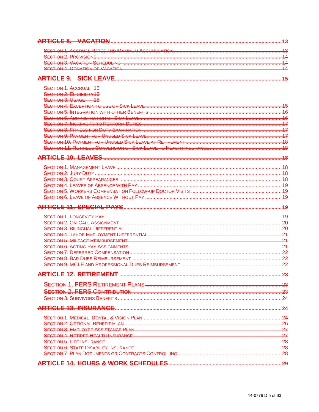|                                                   | 43                       |
|---------------------------------------------------|--------------------------|
|                                                   | 13                       |
|                                                   |                          |
|                                                   |                          |
|                                                   |                          |
|                                                   |                          |
| <b>ARTICLE 9. SICK LEAVE.</b>                     | 45                       |
| <b>SECTION 1. ACCRUAL 15</b>                      |                          |
| SECTION 2. ELIGIBILITY15                          |                          |
| SECTION 3. USAGE 45                               |                          |
|                                                   | 15                       |
|                                                   | $\frac{16}{16}$          |
|                                                   |                          |
|                                                   |                          |
|                                                   |                          |
|                                                   |                          |
|                                                   |                          |
|                                                   |                          |
|                                                   | 18                       |
|                                                   | $\overline{48}$          |
|                                                   |                          |
|                                                   | -18                      |
|                                                   |                          |
|                                                   | .49                      |
|                                                   | 49                       |
|                                                   | 19<br>19                 |
|                                                   |                          |
|                                                   | -20                      |
|                                                   | 21                       |
|                                                   | .24                      |
|                                                   | 21                       |
|                                                   | 22                       |
| <b>SECTION 8 BAR DUES REIMBURSEMENT</b>           | 22                       |
|                                                   | 22                       |
| <b>ARTICLE 12. RETIREMENT</b>                     | 23                       |
|                                                   | -23                      |
|                                                   |                          |
|                                                   | $\frac{23}{2}$           |
|                                                   | -24                      |
|                                                   | $\overline{\mathbf{24}}$ |
|                                                   | -24                      |
| SECTION 2 OPTIONAL BENEFIT PLAN                   | 26                       |
| SECTION 3 FMPLOYEE ASSISTANCE PLAN                |                          |
|                                                   | $\frac{27}{27}$          |
|                                                   | $\frac{28}{28}$          |
|                                                   |                          |
| SECTION 7 PLAN DOCUMENTS OR CONTRACTS CONTROLLING | 28                       |
|                                                   |                          |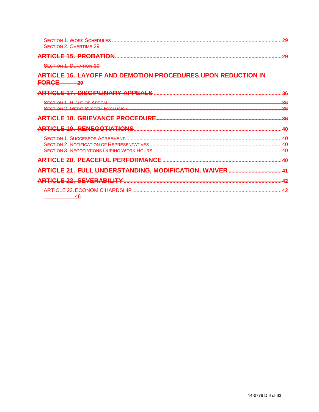| <b>SECTION 1. WORK SCHEDULES</b>                                                        | 20 |
|-----------------------------------------------------------------------------------------|----|
| <b>SECTION 2. OVERTIME 29</b>                                                           |    |
| <b>ARTICLE 15, PROBATION</b>                                                            | 20 |
| <b>SECTION 1. DURATION 29</b>                                                           |    |
| <u>ARTICLE 16. LAYOFF AND DEMOTION PROCEDURES UPON REDUCTION IN</u><br><del>FORCE</del> |    |
| <b>ARTICLE 17. DISCIPLINARY APPEALS</b>                                                 |    |
| <b>SECTION 1. RIGHT OF APPEAL</b>                                                       | 36 |
| <b>SECTION 2. MERIT SYSTEM EXCLUSION</b>                                                | 36 |
| <b>GRIEVANCE PROCEDURE.</b><br><del>F 18.</del>                                         |    |
| <b>ARTICLE 19. RENEGOTIATIONS</b>                                                       | 4Ω |
| <b>SECTION 1. SUCCESSOR AGREEMENT</b>                                                   | 4∩ |
| <b>SECTION 2. NOTIFICATION OF REPRESENTATIVES</b>                                       | 10 |
| <b>SECTION 3. NEGOTIATIONS DURING WORK HOURS.</b>                                       | 4∩ |
| <u>PEACEFUL PERFORMANCE</u><br><del>ARTICLE 20.</del>                                   | 4Ω |
| <u>ARTICLE 21. FULL UNDERSTANDING, MODIFICATION, WAIVER</u>                             |    |
| <b>ARTICLE 22. SEVERABILITY</b>                                                         |    |
| ARTICLE 23. ECONOMIC HARDSHIP                                                           |    |
| 48                                                                                      |    |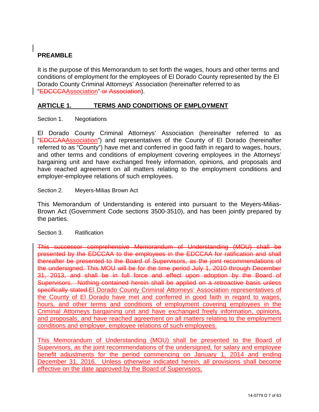### **PREAMBLE**

It is the purpose of this Memorandum to set forth the wages, hours and other terms and conditions of employment for the employees of El Dorado County represented by the El Dorado County Criminal Attorneys' Association (hereinafter referred to as "EDCCCAAssociation" or Association).

#### <span id="page-6-0"></span>**ARTICLE 1. TERMS AND CONDITIONS OF EMPLOYMENT**

<span id="page-6-1"></span>Section 1. Negotiations

El Dorado County Criminal Attorneys' Association (hereinafter referred to as "EDCCAAAssociation") and representatives of the County of El Dorado (hereinafter referred to as "County") have met and conferred in good faith in regard to wages, hours, and other terms and conditions of employment covering employees in the Attorneys' bargaining unit and have exchanged freely information, opinions, and proposals and have reached agreement on all matters relating to the employment conditions and employer-employee relations of such employees.

#### <span id="page-6-2"></span>Section 2. Meyers-Milias Brown Act

This Memorandum of Understanding is entered into pursuant to the Meyers-Milias-Brown Act (Government Code sections 3500-3510), and has been jointly prepared by the parties.

#### <span id="page-6-3"></span>Section 3. Ratification

This successor comprehensive Memorandum of Understanding (MOU) shall be presented by the EDCCAA to the employees in the EDCCAA for ratification and shall thereafter be presented to the Board of Supervisors, as the joint recommendations of the undersigned. This MOU will be for the time period July 1, 2010 through December 31, 2013, and shall be in full force and effect upon adoption by the Board of Supervisors. Nothing contained herein shall be applied on a retroactive basis unless specifically stated.El Dorado County Criminal Attorneys' Association representatives of the County of El Dorado have met and conferred in good faith in regard to wages, hours, and other terms and conditions of employment covering employees in the Criminal Attorneys bargaining unit and have exchanged freely information, opinions, and proposals, and have reached agreement on all matters relating to the employment conditions and employer, employee relations of such employees.

This Memorandum of Understanding (MOU) shall be presented to the Board of Supervisors, as the joint recommendations of the undersigned, for salary and employee benefit adjustments for the period commencing on January 1, 2014 and ending December 31, 2016. Unless otherwise indicated herein, all provisions shall become effective on the date approved by the Board of Supervisors.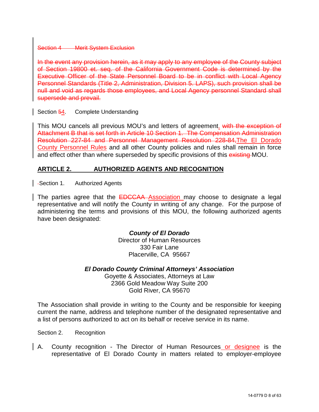#### Section 4 Merit System Exclusion

In the event any provision herein, as it may apply to any employee of the County subject of Section 19800 et. seq. of the California Government Code is determined by the Executive Officer of the State Personnel Board to be in conflict with Local Agency Personnel Standards (Title 2, Administration, Division 5. LAPS), such provision shall be null and void as regards those employees, and Local Agency personnel Standard shall supersede and prevail.

#### <span id="page-7-0"></span>Section 54. Complete Understanding

This MOU cancels all previous MOU's and letters of agreement. with the exception of Attachment B that is set forth in Article 10 Section 1. The Compensation Administration Resolution 227-84 and Personnel Management Resolution 228-84,The El Dorado County Personnel Rules and all other County policies and rules shall remain in force and effect other than where superseded by specific provisions of this existing MOU.

#### <span id="page-7-1"></span>**ARTICLE 2. AUTHORIZED AGENTS AND RECOGNITION**

<span id="page-7-2"></span>Section 1. Authorized Agents

The parties agree that the **EDCCAA** Association may choose to designate a legal representative and will notify the County in writing of any change. For the purpose of administering the terms and provisions of this MOU, the following authorized agents have been designated:

> *County of El Dorado* Director of Human Resources 330 Fair Lane Placerville, CA 95667

*El Dorado County Criminal Attorneys' Association*

Goyette & Associates, Attorneys at Law 2366 Gold Meadow Way Suite 200 Gold River, CA 95670

The Association shall provide in writing to the County and be responsible for keeping current the name, address and telephone number of the designated representative and a list of persons authorized to act on its behalf or receive service in its name.

<span id="page-7-3"></span>Section 2. Recognition

A. County recognition - The Director of Human Resources or designee is the representative of El Dorado County in matters related to employer-employee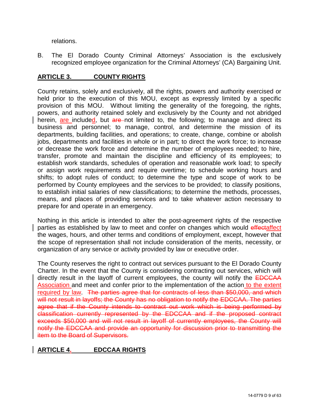relations.

B. The El Dorado County Criminal Attorneys' Association is the exclusively recognized employee organization for the Criminal Attorneys' (CA) Bargaining Unit.

#### <span id="page-8-0"></span>**ARTICLE 3. COUNTY RIGHTS**

County retains, solely and exclusively, all the rights, powers and authority exercised or held prior to the execution of this MOU, except as expressly limited by a specific provision of this MOU. Without limiting the generality of the foregoing, the rights, powers, and authority retained solely and exclusively by the County and not abridged herein, are included, but are not limited to, the following; to manage and direct its business and personnel; to manage, control, and determine the mission of its departments, building facilities, and operations; to create, change, combine or abolish jobs, departments and facilities in whole or in part; to direct the work force; to increase or decrease the work force and determine the number of employees needed; to hire, transfer, promote and maintain the discipline and efficiency of its employees; to establish work standards, schedules of operation and reasonable work load; to specify or assign work requirements and require overtime; to schedule working hours and shifts; to adopt rules of conduct; to determine the type and scope of work to be performed by County employees and the services to be provided; to classify positions, to establish initial salaries of new classifications; to determine the methods, processes, means, and places of providing services and to take whatever action necessary to prepare for and operate in an emergency.

Nothing in this article is intended to alter the post-agreement rights of the respective parties as established by law to meet and confer on changes which would effectaffect the wages, hours, and other terms and conditions of employment, except, however that the scope of representation shall not include consideration of the merits, necessity, or organization of any service or activity provided by law or executive order.

The County reserves the right to contract out services pursuant to the El Dorado County Charter. In the event that the County is considering contracting out services, which will directly result in the layoff of current employees, the county will notify the **EDCCAA** Association and meet and confer prior to the implementation of the action to the extent required by law. The parties agree that for contracts of less than \$50,000, and which will not result in layoffs; the County has no obligation to notify the EDCCAA. The parties agree that if the County intends to contract out work which is being performed by classification currently represented by the EDCCAA and if the proposed contract exceeds \$50,000 and will not result in layoff of currently employees, the County will notify the EDCCAA and provide an opportunity for discussion prior to transmitting the item to the Board of Supervisors.

#### <span id="page-8-1"></span>**ARTICLE 4. EDCCAA RIGHTS**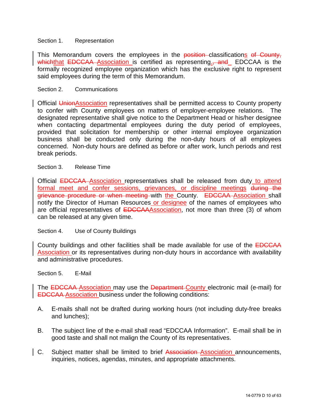#### <span id="page-9-0"></span>Section 1. Representation

This Memorandum covers the employees in the position classifications of County, whichthat EDCCAA Association is certified as representing., and EDCCAA is the formally recognized employee organization which has the exclusive right to represent said employees during the term of this Memorandum.

#### <span id="page-9-1"></span>Section 2. Communications

Official UnionAssociation representatives shall be permitted access to County property to confer with County employees on matters of employer-employee relations. The designated representative shall give notice to the Department Head or his/her designee when contacting departmental employees during the duty period of employees, provided that solicitation for membership or other internal employee organization business shall be conducted only during the non-duty hours of all employees concerned. Non-duty hours are defined as before or after work, lunch periods and rest break periods.

#### <span id="page-9-2"></span>Section 3. Release Time

Official EDCCAA Association representatives shall be released from duty to attend formal meet and confer sessions, grievances, or discipline meetings during the grievance procedure or when meeting with the County. EDCCAA Association shall notify the Director of Human Resources or designee of the names of employees who are official representatives of **EDCCAA**Association, not more than three (3) of whom can be released at any given time.

#### <span id="page-9-3"></span>Section 4. Use of County Buildings

County buildings and other facilities shall be made available for use of the EDCCAA Association or its representatives during non-duty hours in accordance with availability and administrative procedures.

#### <span id="page-9-4"></span>Section 5. E-Mail

The **EDCCAA** Association may use the Department-County electronic mail (e-mail) for EDCCAA Association business under the following conditions:

- A. E-mails shall not be drafted during working hours (not including duty-free breaks and lunches);
- B. The subject line of the e-mail shall read "EDCCAA Information". E-mail shall be in good taste and shall not malign the County of its representatives.
- C. Subject matter shall be limited to brief Association-Association announcements, inquiries, notices, agendas, minutes, and appropriate attachments.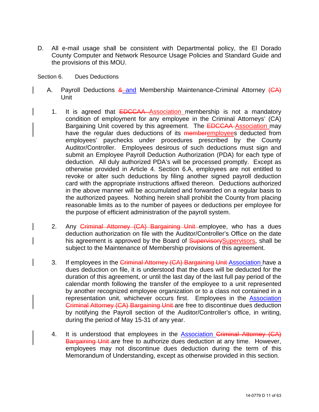- D. All e-mail usage shall be consistent with Departmental policy, the El Dorado County Computer and Network Resource Usage Policies and Standard Guide and the provisions of this MOU.
- <span id="page-10-0"></span>Section 6. Dues Deductions
	- A. Payroll Deductions & and Membership Maintenance-Criminal Attorney (CA) Unit
		- 1. It is agreed that **EDCCAA** Association membership is not a mandatory condition of employment for any employee in the Criminal Attorneys' (CA) Bargaining Unit covered by this agreement. The **EDCCAA** Association may have the regular dues deductions of its memberemployees deducted from employees' paychecks under procedures prescribed by the County Auditor/Controller. Employees desirous of such deductions must sign and submit an Employee Payroll Deduction Authorization (PDA) for each type of deduction. All duly authorized PDA's will be processed promptly. Except as otherwise provided in Article 4. Section 6.A, employees are not entitled to revoke or alter such deductions by filing another signed payroll deduction card with the appropriate instructions affixed thereon. Deductions authorized in the above manner will be accumulated and forwarded on a regular basis to the authorized payees. Nothing herein shall prohibit the County from placing reasonable limits as to the number of payees or deductions per employee for the purpose of efficient administration of the payroll system.
		- 2. Any Criminal Attorney (CA) Bargaining Unit employee, who has a dues deduction authorization on file with the Auditor/Controller's Office on the date his agreement is approved by the Board of **Supervisory**Supervisors, shall be subject to the Maintenance of Membership provisions of this agreement.
		- 3. If employees in the Criminal Attorney (CA) Bargaining Unit Association have a dues deduction on file, it is understood that the dues will be deducted for the duration of this agreement, or until the last day of the last full pay period of the calendar month following the transfer of the employee to a unit represented by another recognized employee organization or to a class not contained in a representation unit, whichever occurs first. Employees in the Association Criminal Attorney (CA) Bargaining Unit are free to discontinue dues deduction by notifying the Payroll section of the Auditor/Controller's office, in writing, during the period of May 15-31 of any year.
		- 4. It is understood that employees in the **Association Criminal Attorney (CA)** Bargaining Unit are free to authorize dues deduction at any time. However, employees may not discontinue dues deduction during the term of this Memorandum of Understanding, except as otherwise provided in this section.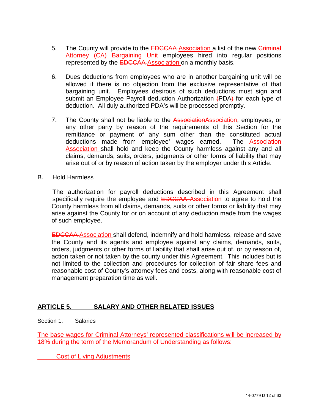- 5. The County will provide to the **EDCCAA Association** a list of the new *Criminal* Attorney (CA) Bargaining Unit employees hired into regular positions represented by the **EDCCAA** Association on a monthly basis.
- 6. Dues deductions from employees who are in another bargaining unit will be allowed if there is no objection from the exclusive representative of that bargaining unit. Employees desirous of such deductions must sign and submit an Employee Payroll deduction Authorization (PDA) for each type of deduction. All duly authorized PDA's will be processed promptly.
- 7. The County shall not be liable to the AssociationAssociation, employees, or any other party by reason of the requirements of this Section for the remittance or payment of any sum other than the constituted actual deductions made from employee' wages earned. The Association Association shall hold and keep the County harmless against any and all claims, demands, suits, orders, judgments or other forms of liability that may arise out of or by reason of action taken by the employer under this Article.
- B. Hold Harmless

The authorization for payroll deductions described in this Agreement shall specifically require the employee and **EDCCAA** Association to agree to hold the County harmless from all claims, demands, suits or other forms or liability that may arise against the County for or on account of any deduction made from the wages of such employee.

EDCCAA Association shall defend, indemnify and hold harmless, release and save the County and its agents and employee against any claims, demands, suits, orders, judgments or other forms of liability that shall arise out of, or by reason of, action taken or not taken by the county under this Agreement. This includes but is not limited to the collection and procedures for collection of fair share fees and reasonable cost of County's attorney fees and costs, along with reasonable cost of management preparation time as well.

#### <span id="page-11-0"></span>**ARTICLE 5. SALARY AND OTHER RELATED ISSUES**

<span id="page-11-1"></span>Section 1. Salaries

The base wages for Criminal Attorneys' represented classifications will be increased by 18% during the term of the Memorandum of Understanding as follows:

Cost of Living Adjustments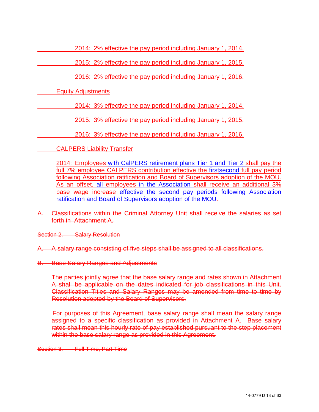2014: 2% effective the pay period including January 1, 2014.

2015: 2% effective the pay period including January 1, 2015.

2016: 2% effective the pay period including January 1, 2016.

Equity Adjustments

2014: 3% effective the pay period including January 1, 2014.

2015: 3% effective the pay period including January 1, 2015.

2016: 3% effective the pay period including January 1, 2016.

CALPERS Liability Transfer

2014: Employees with CalPERS retirement plans Tier 1 and Tier 2 shall pay the full 7% employee CALPERS contribution effective the firstsecond full pay period following Association ratification and Board of Supervisors adoption of the MOU. As an offset, all employees in the Association shall receive an additional 3% base wage increase effective the second pay periods following Association ratification and Board of Supervisors adoption of the MOU.

A. Classifications within the Criminal Attorney Unit shall receive the salaries as set forth in Attachment A.

Section 2. Salary Resolution

A. A salary range consisting of five steps shall be assigned to all classifications.

B. Base Salary Ranges and Adjustments

The parties jointly agree that the base salary range and rates shown in Attachment A shall be applicable on the dates indicated for job classifications in this Unit. Classification Titles and Salary Ranges may be amended from time to time by Resolution adopted by the Board of Supervisors.

 For purposes of this Agreement, base salary range shall mean the salary range assigned to a specific classification as provided in Attachment A. Base salary rates shall mean this hourly rate of pay established pursuant to the step placement within the base salary range as provided in this Agreement.

Section 3. Full Time, Part-Time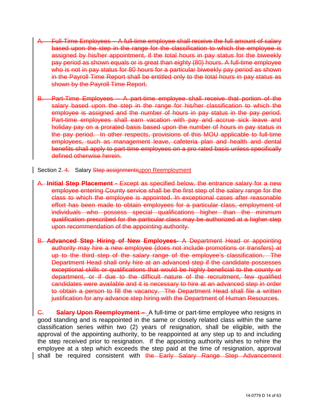- A. Full-Time Employees A full-time employee shall receive the full amount of salary based upon the step in the range for the classification to which the employee is assigned by his/her appointment, if the total hours in pay status for the biweekly pay period as shown equals or is great than eighty (80) hours. A full-time employee who is not in pay status for 80 hours for a particular biweekly pay period as shown in the Payroll Time Report shall be entitled only to the total hours in pay status as shown by the Payroll Time Report.
- B. Part-Time Employees A part-time employee shall receive that portion of the salary based upon the step in the range for his/her classification to which the employee is assigned and the number of hours in pay status in the pay period. Part-time employees shall earn vacation with pay and accrue sick leave and holiday pay on a prorated basis based upon the number of hours in pay status in the pay period. In other respects, provisions of this MOU applicable to full-time employees, such as management leave, cafeteria plan and health and dental benefits shall apply to part-time employees on a pro rated basis unless specifically defined otherwise herein.

<span id="page-13-0"></span>Section 2.-4. Salary Step assignmentsupon Reemployment

- A. **Initial Step Placement** Except as specified below, the entrance salary for a new employee entering County service shall be the first step of the salary range for the class to which the employee is appointed. In exceptional cases after reasonable effort has been made to obtain employees for a particular class, employment of individuals who possess special qualifications higher than the minimum qualification prescribed for the particular class may be authorized at a higher step upon recommendation of the appointing authority.
- B. **Advanced Step Hiring of New Employees** A Department Head or appointing authority may hire a new employee (does not include promotions or transfers) at up to the third step of the salary range of the employee's classification. The Department Head shall only hire at an advanced step if the candidate possesses exceptional skills or qualifications that would be highly beneficial to the county or department, or if due to the difficult nature of the recruitment, few qualified candidates were available and it is necessary to hire at an advanced step in order to obtain a person to fill the vacancy. The Department Head shall file a written justification for any advance step hiring with the Department of Human Resources.

C. **Salary Upon Reemployment –** A full-time or part-time employee who resigns in good standing and is reappointed in the same or closely related class within the same classification series within two (2) years of resignation, shall be eligible, with the approval of the appointing authority, to be reappointed at any step up to and including the step received prior to resignation. If the appointing authority wishes to rehire the employee at a step which exceeds the step paid at the time of resignation, approval shall be required consistent with the Early Salary Range Step Advancement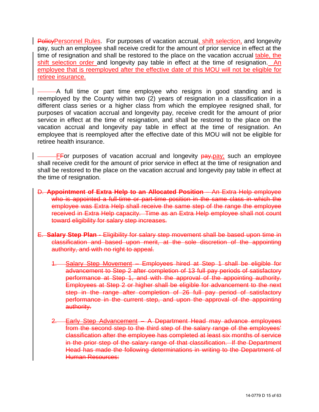PolicyPersonnel Rules. For purposes of vacation accrual, shift selection, and longevity pay, such an employee shall receive credit for the amount of prior service in effect at the time of resignation and shall be restored to the place on the vacation accrual table, the shift selection order and longevity pay table in effect at the time of resignation. An employee that is reemployed after the effective date of this MOU will not be eligible for retiree insurance.

A full time or part time employee who resigns in good standing and is reemployed by the County within two (2) years of resignation in a classification in a different class series or a higher class from which the employee resigned shall, for purposes of vacation accrual and longevity pay, receive credit for the amount of prior service in effect at the time of resignation, and shall be restored to the place on the vacation accrual and longevity pay table in effect at the time of resignation. An employee that is reemployed after the effective date of this MOU will not be eligible for retiree health insurance.

**EFOR** purposes of vacation accrual and longevity **pay**, pay; such an employee shall receive credit for the amount of prior service in effect at the time of resignation and shall be restored to the place on the vacation accrual and longevity pay table in effect at the time of resignation.

- D. **Appointment of Extra Help to an Allocated Position** An Extra Help employee who is appointed a full-time or part-time position in the same class in which the employee was Extra Help shall receive the same step of the range the employee received in Extra Help capacity. Time as an Extra Help employee shall not count toward eligibility for salary step increases.
- E. **Salary Step Plan** Eligibility for salary step movement shall be based upon time in classification and based upon merit, at the sole discretion of the appointing authority, and with no right to appeal.
	- 1. Salary Step Movement Employees hired at Step 1 shall be eligible for advancement to Step 2 after completion of 13 full pay periods of satisfactory performance at Step 1, and with the approval of the appointing authority. Employees at Step 2 or higher shall be eligible for advancement to the next step in the range after completion of 26 full pay period of satisfactory performance in the current step, and upon the approval of the appointing authority.
	- 2. Early Step Advancement A Department Head may advance employees from the second step to the third step of the salary range of the employees' classification after the employee has completed at least six months of service in the prior step of the salary range of that classification. If the Department Head has made the following determinations in writing to the Department of Human Resources: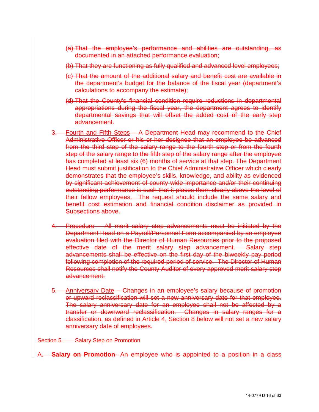- (a) That the employee's performance and abilities are outstanding, as documented in an attached performance evaluation;
- (b) That they are functioning as fully qualified and advanced level employees;
- (c) That the amount of the additional salary and benefit cost are available in the department's budget for the balance of the fiscal year (department's calculations to accompany the estimate);
- (d) That the County's financial condition require reductions in departmental appropriations during the fiscal year, the department agrees to identify departmental savings that will offset the added cost of the early step advancement.
- 3. Fourth and Fifth Steps A Department Head may recommend to the Chief Administrative Officer or his or her designee that an employee be advanced from the third step of the salary range to the fourth step or from the fourth step of the salary range to the fifth step of the salary range after the employee has completed at least six (6) months of service at that step. The Department Head must submit justification to the Chief Administrative Officer which clearly demonstrates that the employee's skills, knowledge, and ability as evidenced by significant achievement of county wide importance and/or their continuing outstanding performance is such that it places them clearly above the level of their fellow employees. The request should include the same salary and benefit cost estimation and financial condition disclaimer as provided in Subsections above.
- 4. Procedure All merit salary step advancements must be initiated by the Department Head on a Payroll/Personnel Form accompanied by an employee evaluation filed with the Director of Human Resources prior to the proposed effective date of the merit salary step advancement. Salary step advancements shall be effective on the first day of the biweekly pay period following completion of the required period of service. The Director of Human Resources shall notify the County Auditor of every approved merit salary step advancement.
- 5. Anniversary Date Changes in an employee's salary because of promotion or upward reclassification will set a new anniversary date for that employee. The salary anniversary date for an employee shall not be affected by a transfer or downward reclassification. Changes in salary ranges for a classification, as defined in Article 4, Section 8 below will not set a new salary anniversary date of employees.

Section 5. Salary Step on Promotion

**Salary on Promotion-** An employee who is appointed to a position in a class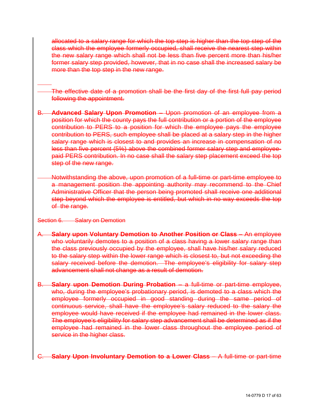allocated to a salary range for which the top step is higher than the top step of the class which the employee formerly occupied, shall receive the nearest step within the new salary range which shall not be less than five percent more than his/her former salary step provided, however, that in no case shall the increased salary be more than the top step in the new range.

The effective date of a promotion shall be the first day of the first full pay period following the appointment.

- B. **Advanced Salary Upon Promotion** Upon promotion of an employee from a position for which the county pays the full contribution or a portion of the employee contribution to PERS to a position for which the employee pays the employee contribution to PERS, such employee shall be placed at a salary step in the higher salary range which is closest to and provides an increase in compensation of no less than five percent (5%) above the combined former salary step and employeepaid PERS contribution. In no case shall the salary step placement exceed the top step of the new range.
	- Notwithstanding the above, upon promotion of a full-time or part-time employee to a management position the appointing authority may recommend to the Chief Administrative Officer that the person being promoted shall receive one additional step beyond which the employee is entitled, but which in no way exceeds the top of the range.

#### Section 6. Salary on Demotion

 $\overline{a}$ 

- **Salary upon Voluntary Demotion to Another Position or Class** An employee who voluntarily demotes to a position of a class having a lower salary range than the class previously occupied by the employee, shall have his/her salary reduced to the salary step within the lower range which is closest to, but not exceeding the salary received before the demotion. The employee's eligibility for salary step advancement shall not change as a result of demotion.
- B. **Salary upon Demotion During Probation** a full-time or part-time employee, who, during the employee's probationary period, is demoted to a class which the employee formerly occupied in good standing during the same period of continuous service, shall have the employee's salary reduced to the salary the employee would have received if the employee had remained in the lower class. The employee's eligibility for salary step advancement shall be determined as if the employee had remained in the lower class throughout the employee period of service in the higher class.

#### **Salary Upon Involuntary Demotion to a Lower Class - A full-time or part-time**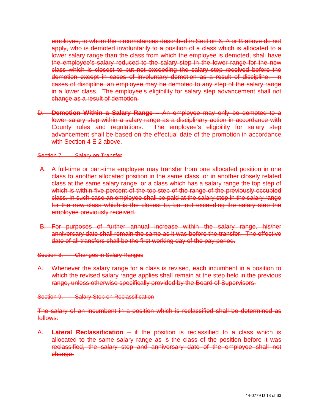employee, to whom the circumstances described in Section 6, A or B above do not apply, who is demoted involuntarily to a position of a class which is allocated to a lower salary range than the class from which the employee is demoted, shall have the employee's salary reduced to the salary step in the lower range for the new class which is closest to but not exceeding the salary step received before the demotion except in cases of involuntary demotion as a result of discipline. In cases of discipline, an employee may be demoted to any step of the salary range in a lower class. The employee's eligibility for salary step advancement shall not change as a result of demotion.

D. **Demotion Within a Salary Range** – An employee may only be demoted to a lower salary step within a salary range as a disciplinary action in accordance with County rules and regulations. The employee's eligibility for salary step advancement shall be based on the effectual date of the promotion in accordance with Section 4 F 2 above.

#### Section 7. Salary on Transfer

- A. A full-time or part-time employee may transfer from one allocated position in one class to another allocated position in the same class, or in another closely related class at the same salary range, or a class which has a salary range the top step of which is within five percent of the top step of the range of the previously occupied class. In such case an employee shall be paid at the salary step in the salary range for the new class which is the closest to, but not exceeding the salary step the employee previously received.
- B. For purposes of further annual increase within the salary range, his/her anniversary date shall remain the same as it was before the transfer. The effective date of all transfers shall be the first working day of the pay period.
- Section 8. Changes in Salary Ranges
- A. Whenever the salary range for a class is revised, each incumbent in a position to which the revised salary range applies shall remain at the step held in the previous range, unless otherwise specifically provided by the Board of Supervisors.

Section 9. Salary Step on Reclassification

The salary of an incumbent in a position which is reclassified shall be determined as follows:

A. **Lateral Reclassification** – if the position is reclassified to a class which is allocated to the same salary range as is the class of the position before it was reclassified, the salary step and anniversary date of the employee shall not change.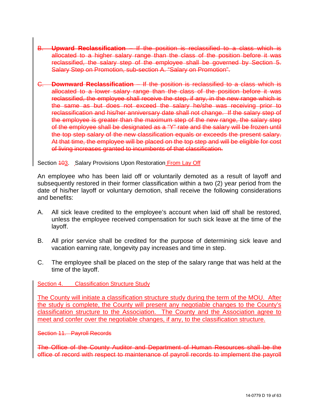- B. **Upward Reclassification** If the position is reclassified to a class which is allocated to a higher salary range than the class of the position before it was reclassified, the salary step of the employee shall be governed by Section 5. Salary Step on Promotion, sub-section A. "Salary on Promotion".
- C. **Downward Reclassification** If the position is reclassified to a class which is allocated to a lower salary range than the class of the position before it was reclassified, the employee shall receive the step, if any, in the new range which is the same as but does not exceed the salary he/she was receiving prior to reclassification and his/her anniversary date shall not change. If the salary step of the employee is greater than the maximum step of the new range, the salary step of the employee shall be designated as a "Y" rate and the salary will be frozen until the top step salary of the new classification equals or exceeds the present salary. At that time, the employee will be placed on the top step and will be eligible for cost of living increases granted to incumbents of that classification.

<span id="page-18-0"></span>Section 403. Salary Provisions Upon Restoration From Lay Off

An employee who has been laid off or voluntarily demoted as a result of layoff and subsequently restored in their former classification within a two (2) year period from the date of his/her layoff or voluntary demotion, shall receive the following considerations and benefits:

- A. All sick leave credited to the employee's account when laid off shall be restored, unless the employee received compensation for such sick leave at the time of the layoff.
- B. All prior service shall be credited for the purpose of determining sick leave and vacation earning rate, longevity pay increases and time in step.
- C. The employee shall be placed on the step of the salary range that was held at the time of the layoff.

<span id="page-18-1"></span>Section 4. Classification Structure Study

The County will initiate a classification structure study during the term of the MOU. After the study is complete, the County will present any negotiable changes to the County's classification structure to the Association. The County and the Association agree to meet and confer over the negotiable changes, if any, to the classification structure.

Section 11. Payroll Records

The Office of the County Auditor and Department of Human Resources shall be the office of record with respect to maintenance of payroll records to implement the payroll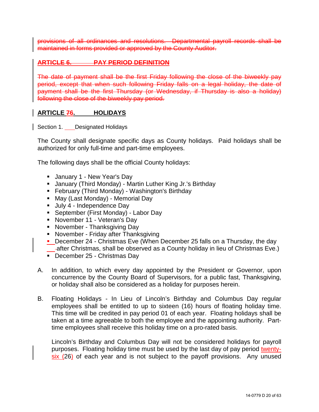provisions of all ordinances and resolutions. Departmental payroll records shall be maintained in forms provided or approved by the County Auditor.

#### **ARTICLE 6. PAY PERIOD DEFINITION**

The date of payment shall be the first Friday following the close of the biweekly pay period, except that when such following Friday falls on a legal holiday, the date of payment shall be the first Thursday (or Wednesday, if Thursday is also a holiday) following the close of the biweekly pay period.

#### <span id="page-19-0"></span>**ARTICLE 76. HOLIDAYS**

<span id="page-19-1"></span>Section 1. Designated Holidays

The County shall designate specific days as County holidays. Paid holidays shall be authorized for only full-time and part-time employees.

The following days shall be the official County holidays:

- **January 1 New Year's Day**
- January (Third Monday) Martin Luther King Jr.'s Birthday
- **February (Third Monday) Washington's Birthday**
- May (Last Monday) Memorial Day
- Uuly 4 Independence Day
- **September (First Monday) Labor Day**
- **November 11 Veteran's Day**
- November Thanksgiving Day
- **November Friday after Thanksgiving**
- December 24 Christmas Eve (When December 25 falls on a Thursday, the day after Christmas, shall be observed as a County holiday in lieu of Christmas Eve.)
- December 25 Christmas Day
- A. In addition, to which every day appointed by the President or Governor, upon concurrence by the County Board of Supervisors, for a public fast, Thanksgiving, or holiday shall also be considered as a holiday for purposes herein.
- B. Floating Holidays In Lieu of Lincoln's Birthday and Columbus Day regular employees shall be entitled to up to sixteen (16) hours of floating holiday time. This time will be credited in pay period 01 of each year. Floating holidays shall be taken at a time agreeable to both the employee and the appointing authority. Parttime employees shall receive this holiday time on a pro-rated basis.

Lincoln's Birthday and Columbus Day will not be considered holidays for payroll purposes. Floating holiday time must be used by the last day of pay period twentysix (26) of each year and is not subject to the payoff provisions. Any unused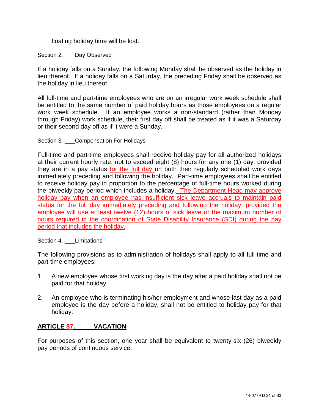floating holiday time will be lost.

<span id="page-20-0"></span>Section 2. Day Observed

If a holiday falls on a Sunday, the following Monday shall be observed as the holiday in lieu thereof. If a holiday falls on a Saturday, the preceding Friday shall be observed as the holiday in lieu thereof.

All full-time and part-time employees who are on an irregular work week schedule shall be entitled to the same number of paid holiday hours as those employees on a regular work week schedule. If an employee works a non-standard (rather than Monday through Friday) work schedule, their first day off shall be treated as if it was a Saturday or their second day off as if it were a Sunday.

<span id="page-20-1"></span>Section 3. Compensation For Holidays

Full-time and part-time employees shall receive holiday pay for all authorized holidays at their current hourly rate, not to exceed eight (8) hours for any one (1) day, provided they are in a pay status for the full day on both their regularly scheduled work days immediately preceding and following the holiday. Part-time employees shall be entitled to receive holiday pay in proportion to the percentage of full-time hours worked during the biweekly pay period which includes a holiday. The Department Head may approve holiday pay when an employee has insufficient sick leave accruals to maintain paid status for the full day immediately preceding and following the holiday, provided the employee will use at least twelve (12) hours of sick leave or the maximum number of hours required in the coordination of State Disability Insurance (SDI) during the pay period that includes the holiday.

<span id="page-20-2"></span>Section 4. Limitations

The following provisions as to administration of holidays shall apply to all full-time and part-time employees:

- 1. A new employee whose first working day is the day after a paid holiday shall not be paid for that holiday.
- 2. An employee who is terminating his/her employment and whose last day as a paid employee is the day before a holiday, shall not be entitled to holiday pay for that holiday.

#### <span id="page-20-3"></span>**ARTICLE 87. VACATION**

For purposes of this section, one year shall be equivalent to twenty-six (26) biweekly pay periods of continuous service.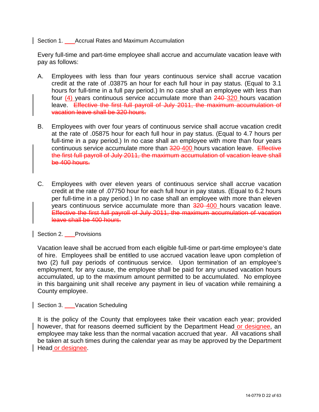<span id="page-21-0"></span>Section 1. Accrual Rates and Maximum Accumulation

Every full-time and part-time employee shall accrue and accumulate vacation leave with pay as follows:

- A. Employees with less than four years continuous service shall accrue vacation credit at the rate of .03875 an hour for each full hour in pay status. (Equal to 3.1 hours for full-time in a full pay period.) In no case shall an employee with less than four (4) years continuous service accumulate more than 240 320 hours vacation leave. Effective the first full payroll of July 2011, the maximum accumulation of vacation leave shall be 320 hours.
- B. Employees with over four years of continuous service shall accrue vacation credit at the rate of .05875 hour for each full hour in pay status. (Equal to 4.7 hours per full-time in a pay period.) In no case shall an employee with more than four years continuous service accumulate more than 320-400 hours vacation leave. Effective the first full payroll of July 2011, the maximum accumulation of vacation leave shall be 400 hours.
- C. Employees with over eleven years of continuous service shall accrue vacation credit at the rate of .07750 hour for each full hour in pay status. (Equal to 6.2 hours per full-time in a pay period.) In no case shall an employee with more than eleven years continuous service accumulate more than 320-400 hours vacation leave. Effective the first full payroll of July 2011, the maximum accumulation of vacation leave shall be 400 hours.

<span id="page-21-1"></span>Section 2. Provisions

Vacation leave shall be accrued from each eligible full-time or part-time employee's date of hire. Employees shall be entitled to use accrued vacation leave upon completion of two (2) full pay periods of continuous service. Upon termination of an employee's employment, for any cause, the employee shall be paid for any unused vacation hours accumulated, up to the maximum amount permitted to be accumulated. No employee in this bargaining unit shall receive any payment in lieu of vacation while remaining a County employee.

<span id="page-21-2"></span>Section 3. Vacation Scheduling

It is the policy of the County that employees take their vacation each year; provided however, that for reasons deemed sufficient by the Department Head or designee, an employee may take less than the normal vacation accrued that year. All vacations shall be taken at such times during the calendar year as may be approved by the Department Head or designee.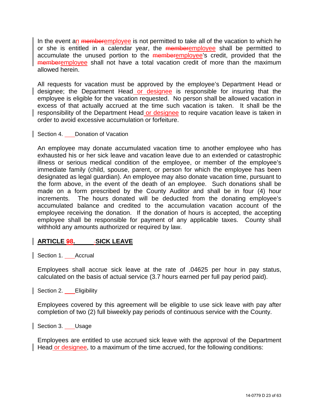In the event an memberemployee is not permitted to take all of the vacation to which he or she is entitled in a calendar year, the **memberemployee** shall be permitted to accumulate the unused portion to the **memberemployee's** credit, provided that the memberemployee shall not have a total vacation credit of more than the maximum allowed herein.

All requests for vacation must be approved by the employee's Department Head or designee; the Department Head or designee is responsible for insuring that the employee is eligible for the vacation requested. No person shall be allowed vacation in excess of that actually accrued at the time such vacation is taken. It shall be the responsibility of the Department Head or designee to require vacation leave is taken in order to avoid excessive accumulation or forfeiture.

<span id="page-22-0"></span>Section 4. **Donation of Vacation** 

An employee may donate accumulated vacation time to another employee who has exhausted his or her sick leave and vacation leave due to an extended or catastrophic illness or serious medical condition of the employee, or member of the employee's immediate family (child, spouse, parent, or person for which the employee has been designated as legal guardian). An employee may also donate vacation time, pursuant to the form above, in the event of the death of an employee. Such donations shall be made on a form prescribed by the County Auditor and shall be in four (4) hour increments. The hours donated will be deducted from the donating employee's accumulated balance and credited to the accumulation vacation account of the employee receiving the donation. If the donation of hours is accepted, the accepting employee shall be responsible for payment of any applicable taxes. County shall withhold any amounts authorized or required by law.

#### <span id="page-22-1"></span>**ARTICLE 98. SICK LEAVE**

<span id="page-22-2"></span>Section 1. Accrual

Employees shall accrue sick leave at the rate of .04625 per hour in pay status, calculated on the basis of actual service (3.7 hours earned per full pay period paid).

<span id="page-22-3"></span>Section 2. Eligibility

Employees covered by this agreement will be eligible to use sick leave with pay after completion of two (2) full biweekly pay periods of continuous service with the County.

<span id="page-22-4"></span>Section 3. Usage

Employees are entitled to use accrued sick leave with the approval of the Department Head or designee, to a maximum of the time accrued, for the following conditions: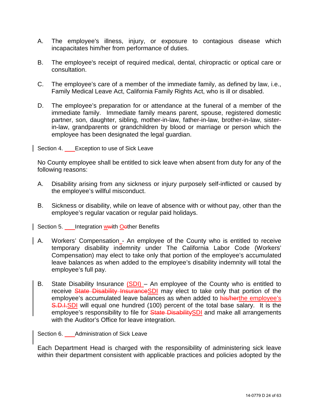- A. The employee's illness, injury, or exposure to contagious disease which incapacitates him/her from performance of duties.
- B. The employee's receipt of required medical, dental, chiropractic or optical care or consultation.
- C. The employee's care of a member of the immediate family, as defined by law, i.e., Family Medical Leave Act, California Family Rights Act, who is ill or disabled.
- D. The employee's preparation for or attendance at the funeral of a member of the immediate family. Immediate family means parent, spouse, registered domestic partner, son, daughter, sibling, mother-in-law, father-in-law, brother-in-law, sisterin-law, grandparents or grandchildren by blood or marriage or person which the employee has been designated the legal guardian.

<span id="page-23-0"></span>Section 4. **Exception to use of Sick Leave** 

No County employee shall be entitled to sick leave when absent from duty for any of the following reasons:

- A. Disability arising from any sickness or injury purposely self-inflicted or caused by the employee's willful misconduct.
- B. Sickness or disability, while on leave of absence with or without pay, other than the employee's regular vacation or regular paid holidays.

<span id="page-23-1"></span>Section 5. Integration wwith Oether Benefits

- A. Workers' Compensation An employee of the County who is entitled to receive temporary disability indemnity under The California Labor Code (Workers' Compensation) may elect to take only that portion of the employee's accumulated leave balances as when added to the employee's disability indemnity will total the employee's full pay.
- B. State Disability Insurance (SDI) An employee of the County who is entitled to receive State Disability Insurance SDI may elect to take only that portion of the employee's accumulated leave balances as when added to his/herthe employee's **S.D.I.SDI** will equal one hundred (100) percent of the total base salary. It is the employee's responsibility to file for State DisabilitySDI and make all arrangements with the Auditor's Office for leave integration.

<span id="page-23-2"></span>Section 6. Administration of Sick Leave

Each Department Head is charged with the responsibility of administering sick leave within their department consistent with applicable practices and policies adopted by the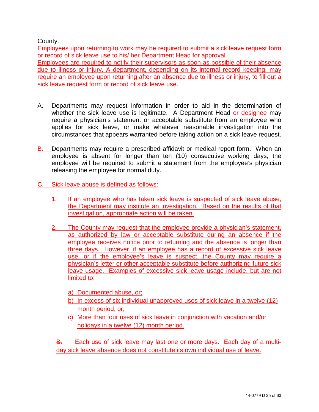#### County.

Employees upon returning to work may be required to submit a sick leave request form or record of sick leave use to his/ her Department Head for approval. Employees are required to notify their supervisors as soon as possible of their absence due to illness or injury. A department, depending on its internal record keeping, may require an employee upon returning after an absence due to illness or injury, to fill out a sick leave request form or record of sick leave use.

- A. Departments may request information in order to aid in the determination of whether the sick leave use is legitimate. A Department Head or designee may require a physician's statement or acceptable substitute from an employee who applies for sick leave, or make whatever reasonable investigation into the circumstances that appears warranted before taking action on a sick leave request.
- B. Departments may require a prescribed affidavit or medical report form. When an employee is absent for longer than ten (10) consecutive working days, the employee will be required to submit a statement from the employee's physician releasing the employee for normal duty.
- C. Sick leave abuse is defined as follows:
	- 1. If an employee who has taken sick leave is suspected of sick leave abuse, the Department may institute an investigation. Based on the results of that investigation, appropriate action will be taken.
	- 2. The County may request that the employee provide a physician's statement, as authorized by law or acceptable substitute during an absence if the employee receives notice prior to returning and the absence is longer than three days. However, if an employee has a record of excessive sick leave use, or if the employee's leave is suspect, the County may require a physician's letter or other acceptable substitute before authorizing future sick leave usage. Examples of excessive sick leave usage include, but are not limited to:
		- a) Documented abuse, or;
		- b) In excess of six individual unapproved uses of sick leave in a twelve (12) month period, or;
		- c) More than four uses of sick leave in conjunction with vacation and/or holidays in a twelve (12) month period.

B. Each use of sick leave may last one or more days. Each day of a multiday sick leave absence does not constitute its own individual use of leave.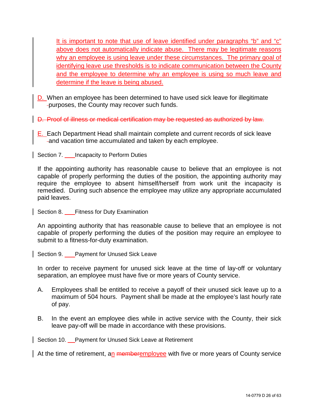It is important to note that use of leave identified under paragraphs "b" and "c" above does not automatically indicate abuse. There may be legitimate reasons why an employee is using leave under these circumstances. The primary goal of identifying leave use thresholds is to indicate communication between the County and the employee to determine why an employee is using so much leave and determine if the leave is being abused.

- D. When an employee has been determined to have used sick leave for illegitimate purposes, the County may recover such funds.
- D. Proof of illness or medical certification may be requested as authorized by law.
	- E. Each Department Head shall maintain complete and current records of sick leave and vacation time accumulated and taken by each employee.

<span id="page-25-0"></span>Section 7. **Incapacity to Perform Duties** 

If the appointing authority has reasonable cause to believe that an employee is not capable of properly performing the duties of the position, the appointing authority may require the employee to absent himself/herself from work unit the incapacity is remedied. During such absence the employee may utilize any appropriate accumulated paid leaves.

<span id="page-25-1"></span>Section 8. **Fitness for Duty Examination** 

An appointing authority that has reasonable cause to believe that an employee is not capable of properly performing the duties of the position may require an employee to submit to a fitness-for-duty examination.

<span id="page-25-2"></span>Section 9. Payment for Unused Sick Leave

In order to receive payment for unused sick leave at the time of lay-off or voluntary separation, an employee must have five or more years of County service.

- A. Employees shall be entitled to receive a payoff of their unused sick leave up to a maximum of 504 hours. Payment shall be made at the employee's last hourly rate of pay.
- B. In the event an employee dies while in active service with the County, their sick leave pay-off will be made in accordance with these provisions.

<span id="page-25-3"></span>Section 10. Payment for Unused Sick Leave at Retirement

At the time of retirement, an memberemployee with five or more years of County service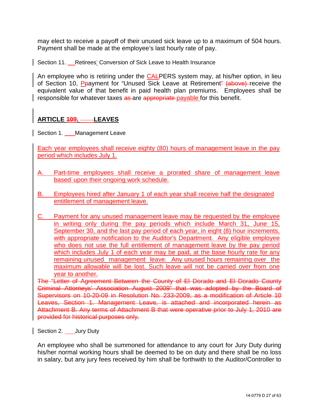may elect to receive a payoff of their unused sick leave up to a maximum of 504 hours. Payment shall be made at the employee's last hourly rate of pay.

<span id="page-26-0"></span>Section 11. Retirees' Conversion of Sick Leave to Health Insurance

An employee who is retiring under the **CALPERS** system may, at his/her option, in lieu of Section 10, Ppayment for "Unused Sick Leave at Retirement" (above) receive the equivalent value of that benefit in paid health plan premiums. Employees shall be responsible for whatever taxes as are appropriate payable for this benefit.

#### <span id="page-26-1"></span>ARTICLE **409.** ——LEAVES

<span id="page-26-2"></span>Section 1. \_ Management Leave

Each year employees shall receive eighty (80) hours of management leave in the pay period which includes July 1.

- Part-time employees shall receive a prorated share of management leave based upon their ongoing work schedule.
- B. Employees hired after January 1 of each year shall receive half the designated entitlement of management leave.
- C. Payment for any unused management leave may be requested by the employee in writing only during the pay periods which include March 31, June 15, September 30, and the last pay period of each year, in eight (8) hour increments, with appropriate notification to the Auditor's Department. Any eligible employee who does not use the full entitlement of management leave by the pay period which includes July 1 of each year may be paid, at the base hourly rate for any remaining unused management leave. Any unused hours remaining over the maximum allowable will be lost. Such leave will not be carried over from one year to another.

The "Letter of Agreement Between the County of El Dorado and El Dorado County Criminal Attorneys' Association August 2009" that was adopted by the Board of Supervisors on 10-20-09 in Resolution No. 233-2009, as a modification of Article 10 Leaves, Section 1. Management Leave, is attached and incorporated herein as Attachment B. Any terms of Attachment B that were operative prior to July 1, 2010 are provided for historical purposes only.

<span id="page-26-3"></span>Section 2. \_\_\_\_Jury Duty

An employee who shall be summoned for attendance to any court for Jury Duty during his/her normal working hours shall be deemed to be on duty and there shall be no loss in salary, but any jury fees received by him shall be forthwith to the Auditor/Controller to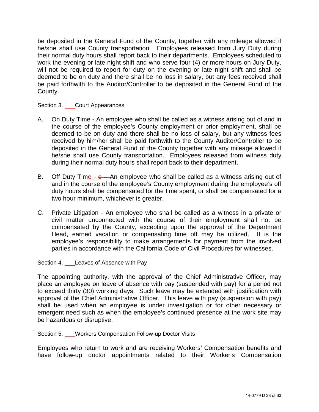be deposited in the General Fund of the County, together with any mileage allowed if he/she shall use County transportation. Employees released from Jury Duty during their normal duty hours shall report back to their departments. Employees scheduled to work the evening or late night shift and who serve four (4) or more hours on Jury Duty, will not be required to report for duty on the evening or late night shift and shall be deemed to be on duty and there shall be no loss in salary, but any fees received shall be paid forthwith to the Auditor/Controller to be deposited in the General Fund of the County.

<span id="page-27-0"></span>Section 3. Court Appearances

- A. On Duty Time An employee who shall be called as a witness arising out of and in the course of the employee's County employment or prior employment, shall be deemed to be on duty and there shall be no loss of salary, but any witness fees received by him/her shall be paid forthwith to the County Auditor/Controller to be deposited in the General Fund of the County together with any mileage allowed if he/she shall use County transportation. Employees released from witness duty during their normal duty hours shall report back to their department.
- B. Off Duty Time e An employee who shall be called as a witness arising out of and in the course of the employee's County employment during the employee's off duty hours shall be compensated for the time spent, or shall be compensated for a two hour minimum, whichever is greater.
- C. Private Litigation An employee who shall be called as a witness in a private or civil matter unconnected with the course of their employment shall not be compensated by the County, excepting upon the approval of the Department Head, earned vacation or compensating time off may be utilized. It is the employee's responsibility to make arrangements for payment from the involved parties in accordance with the California Code of Civil Procedures for witnesses.

<span id="page-27-1"></span>Section 4. Leaves of Absence with Pay

The appointing authority, with the approval of the Chief Administrative Officer, may place an employee on leave of absence with pay (suspended with pay) for a period not to exceed thirty (30) working days. Such leave may be extended with justification with approval of the Chief Administrative Officer. This leave with pay (suspension with pay) shall be used when an employee is under investigation or for other necessary or emergent need such as when the employee's continued presence at the work site may be hazardous or disruptive.

<span id="page-27-2"></span>Section 5. Workers Compensation Follow-up Doctor Visits

Employees who return to work and are receiving Workers' Compensation benefits and have follow-up doctor appointments related to their Worker's Compensation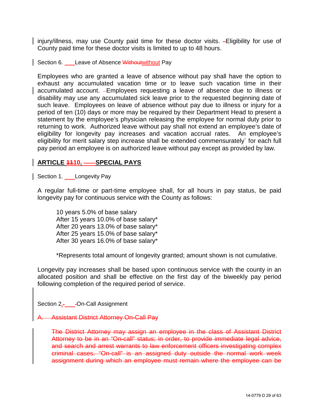injury/illness, may use County paid time for these doctor visits. -Eligibility for use of County paid time for these doctor visits is limited to up to 48 hours.

<span id="page-28-0"></span>Section 6. Leave of Absence Without without Pay

Employees who are granted a leave of absence without pay shall have the option to exhaust any accumulated vacation time or to leave such vacation time in their accumulated account. Employees requesting a leave of absence due to illness or disability may use any accumulated sick leave prior to the requested beginning date of such leave. Employees on leave of absence without pay due to illness or injury for a period of ten (10) days or more may be required by their Department Head to present a statement by the employee's physician releasing the employee for normal duty prior to returning to work. Authorized leave without pay shall not extend an employee's date of eligibility for longevity pay increases and vacation accrual rates. An employee's eligibility for merit salary step increase shall be extended commensurately` for each full pay period an employee is on authorized leave without pay except as provided by law.

#### <span id="page-28-1"></span>**ARTICLE 1110. SPECIAL PAYS**

<span id="page-28-2"></span>Section 1. Longevity Pay

A regular full-time or part-time employee shall, for all hours in pay status, be paid longevity pay for continuous service with the County as follows:

10 years 5.0% of base salary After 15 years 10.0% of base salary\* After 20 years 13.0% of base salary\* After 25 years 15.0% of base salary\* After 30 years 16.0% of base salary\*

\*Represents total amount of longevity granted; amount shown is not cumulative.

Longevity pay increases shall be based upon continuous service with the county in an allocated position and shall be effective on the first day of the biweekly pay period following completion of the required period of service.

<span id="page-28-3"></span>Section 2.. On-Call Assignment

**Assistant District Attorney On-Call Pay** 

The District Attorney may assign an employee in the class of Assistant District Attorney to be in an "On-call" status; in order, to provide immediate legal advice, and search and arrest warrants to law enforcement officers investigating complex criminal cases. "On-call" is an assigned duty outside the normal work week assignment during which an employee must remain where the employee can be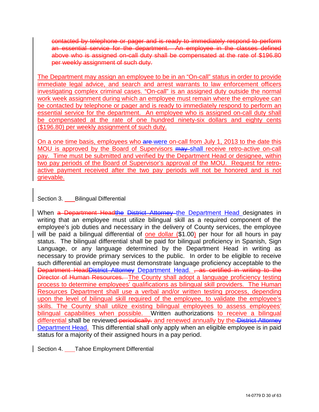contacted by telephone or pager and is ready to immediately respond to perform an essential service for the department. An employee in the classes defined above who is assigned on-call duty shall be compensated at the rate of \$196.80 per weekly assignment of such duty.

The Department may assign an employee to be in an "On-call" status in order to provide immediate legal advice, and search and arrest warrants to law enforcement officers investigating complex criminal cases. "On-call" is an assigned duty outside the normal work week assignment during which an employee must remain where the employee can be contacted by telephone or pager and is ready to immediately respond to perform an essential service for the department. An employee who is assigned on-call duty shall be compensated at the rate of one hundred ninety-six dollars and eighty cents (\$196.80) per weekly assignment of such duty.

On a one time basis, employees who are-were on-call from July 1, 2013 to the date this MOU is approved by the Board of Supervisors may shall receive retro-active on-call pay. Time must be submitted and verified by the Department Head or designee, within two pay periods of the Board of Supervisor's approval of the MOU. Request for retroactive payment received after the two pay periods will not be honored and is not grievable.

<span id="page-29-0"></span>Section 3. Bilingual Differential

When a Department Headthe District Attorney the Department Head designates in writing that an employee must utilize bilingual skill as a required component of the employee's job duties and necessary in the delivery of County services, the employee will be paid a bilingual differential of one dollar (\$1.00) per hour for all hours in pay status. The bilingual differential shall be paid for bilingual proficiency in Spanish, Sign Language, or any language determined by the Department Head in writing as necessary to provide primary services to the public. In order to be eligible to receive such differential an employee must demonstrate language proficiency acceptable to the Department HeadDistrict Attorney Department Head. , as certified in writing to the Director of Human Resources. The County shall adopt a language proficiency testing process to determine employees' qualifications as bilingual skill providers. The Human Resources Department shall use a verbal and/or written testing process, depending upon the level of bilingual skill required of the employee, to validate the employee's skills. The County shall utilize existing bilingual employees to assess employees' bilingual capabilities when possible. Written authorizations to receive a bilingual differential shall be reviewed-periodically. and renewed annually by the District Attorney Department Head. This differential shall only apply when an eligible employee is in paid status for a majority of their assigned hours in a pay period.

<span id="page-29-1"></span>Section 4. Tahoe Employment Differential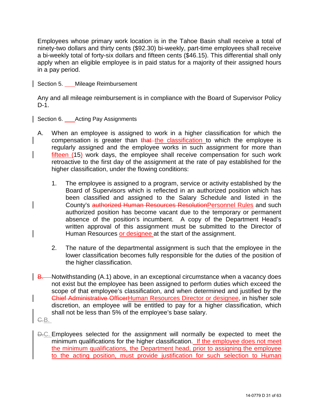Employees whose primary work location is in the Tahoe Basin shall receive a total of ninety-two dollars and thirty cents (\$92.30) bi-weekly, part-time employees shall receive a bi-weekly total of forty-six dollars and fifteen cents (\$46.15). This differential shall only apply when an eligible employee is in paid status for a majority of their assigned hours in a pay period.

<span id="page-30-0"></span>Section 5. Mileage Reimbursement

Any and all mileage reimbursement is in compliance with the Board of Supervisor Policy D-1.

<span id="page-30-1"></span>Section 6. Acting Pay Assignments

- A. When an employee is assigned to work in a higher classification for which the compensation is greater than that the classification to which the employee is regularly assigned and the employee works in such assignment for more than fifteen (15) work days, the employee shall receive compensation for such work retroactive to the first day of the assignment at the rate of pay established for the higher classification, under the flowing conditions:
	- 1. The employee is assigned to a program, service or activity established by the Board of Supervisors which is reflected in an authorized position which has been classified and assigned to the Salary Schedule and listed in the County's authorized Human Resources ResolutionPersonnel Rules and such authorized position has become vacant due to the temporary or permanent absence of the position's incumbent. A copy of the Department Head's written approval of this assignment must be submitted to the Director of Human Resources or designee at the start of the assignment.
	- 2. The nature of the departmental assignment is such that the employee in the lower classification becomes fully responsible for the duties of the position of the higher classification.
- B. Notwithstanding (A.1) above, in an exceptional circumstance when a vacancy does not exist but the employee has been assigned to perform duties which exceed the scope of that employee's classification, and when determined and justified by the Chief Administrative OfficerHuman Resources Director or designee, in his/her sole discretion, an employee will be entitled to pay for a higher classification, which shall not be less than 5% of the employee's base salary.
- C.B.
- D.C. Employees selected for the assignment will normally be expected to meet the minimum qualifications for the higher classification. If the employee does not meet the minimum qualifications, the Department head, prior to assigning the employee to the acting position, must provide justification for such selection to Human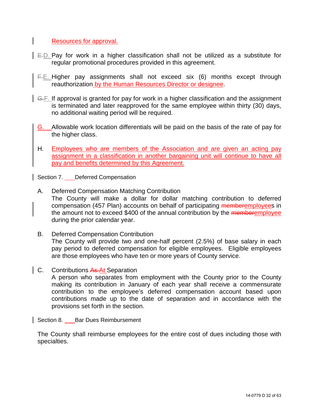Resources for approval.

- E.D. Pay for work in a higher classification shall not be utilized as a substitute for regular promotional procedures provided in this agreement.
- F.E. Higher pay assignments shall not exceed six (6) months except through reauthorization by the Human Resources Director or designee.
- G.F. If approval is granted for pay for work in a higher classification and the assignment is terminated and later reapproved for the same employee within thirty (30) days, no additional waiting period will be required.
- G. Allowable work location differentials will be paid on the basis of the rate of pay for the higher class.
- H. Employees who are members of the Association and are given an acting pay assignment in a classification in another bargaining unit will continue to have all pay and benefits determined by this Agreement.

<span id="page-31-0"></span>Section 7. **Deferred Compensation** 

- A. Deferred Compensation Matching Contribution The County will make a dollar for dollar matching contribution to deferred compensation (457 Plan) accounts on behalf of participating memberemployees in the amount not to exceed \$400 of the annual contribution by the memberemployee during the prior calendar year.
- B. Deferred Compensation Contribution The County will provide two and one-half percent (2.5%) of base salary in each pay period to deferred compensation for eligible employees. Eligible employees are those employees who have ten or more years of County service.
- C. Contributions As At Separation

A person who separates from employment with the County prior to the County making its contribution in January of each year shall receive a commensurate contribution to the employee's deferred compensation account based upon contributions made up to the date of separation and in accordance with the provisions set forth in the section.

<span id="page-31-1"></span>Section 8. \_\_\_\_ Bar Dues Reimbursement

The County shall reimburse employees for the entire cost of dues including those with specialties.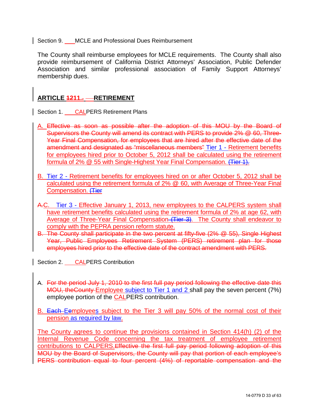<span id="page-32-0"></span>Section 9. MCLE and Professional Dues Reimbursement

The County shall reimburse employees for MCLE requirements. The County shall also provide reimbursement of California District Attorneys' Association, Public Defender Association and similar professional association of Family Support Attorneys' membership dues.

#### <span id="page-32-1"></span>**ARTICLE 4211.. - RETIREMENT**

<span id="page-32-2"></span>Section 1. CALPERS Retirement Plans

- A. Effective as soon as possible after the adoption of this MOU by the Board of Supervisors the County will amend its contract with PERS to provide 2% @ 60, Three-Year Final Compensation, for employees that are hired after the effective date of the amendment and designated as "miscellaneous members" Tier 1 - Retirement benefits for employees hired prior to October 5, 2012 shall be calculated using the retirement formula of 2% @ 55 with Single-Highest Year Final Compensation. (Tier 1).
- B. Tier 2 Retirement benefits for employees hired on or after October 5, 2012 shall be calculated using the retirement formula of 2% @ 60, with Average of Three-Year Final Compensation. (Tier
- A.C. Tier 3 Effective January 1, 2013, new employees to the CALPERS system shall have retirement benefits calculated using the retirement formula of 2% at age 62, with Average of Three-Year Final Compensation (Tier 3). The County shall endeavor to comply with the PEPRA pension reform statute.
- B. The County shall participate in the two percent at fifty-five (2% @ 55), Single Highest Year, Public Employees Retirement System (PERS) retirement plan for those employees hired prior to the effective date of the contract amendment with PERS.

<span id="page-32-3"></span>Section 2. CALPERS Contribution

- A. For the period July 1, 2010 to the first full pay period following the effective date this MOU, theCounty Employee subject to Tier 1 and 2 shall pay the seven percent (7%) employee portion of the CALPERS contribution.
- B. Each Eemployees subject to the Tier 3 will pay 50% of the normal cost of their pension as required by law.

The County agrees to continue the provisions contained in Section 414(h) (2) of the Internal Revenue Code concerning the tax treatment of employee retirement contributions to CALPERS.Effective the first full pay period following adoption of this MOU by the Board of Supervisors, the County will pay that portion of each employee's PERS contribution equal to four percent (4%) of reportable compensation and the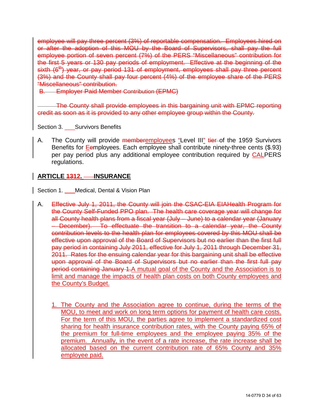employee will pay three percent (3%) of reportable compensation. Employees hired on or after the adoption of this MOU by the Board of Supervisors, shall pay the full employee portion of seven percent (7%) of the PERS "Miscellaneous" contribution for the first 5 years or 130 pay periods of employment. Effective at the beginning of the sixth (6<sup>th</sup>) year, or pay period 131 of employment, employees shall pay three percent (3%) and the County shall pay four percent (4%) of the employee share of the PERS "Miscellaneous" contribution.

B. Employer Paid Member Contribution (EPMC)

The County shall provide employees in this bargaining unit with EPMC reporting credit as soon as it is provided to any other employee group within the County.

<span id="page-33-0"></span>Section 3. Survivors Benefits

A. The County will provide memberemployees "Level III" tier of the 1959 Survivors Benefits for Eemployees. Each employee shall contribute ninety-three cents (\$.93) per pay period plus any additional employee contribution required by CALPERS regulations.

#### <span id="page-33-1"></span>**ARTICLE 4312. - INSURANCE**

<span id="page-33-2"></span>Section 1. Medical, Dental & Vision Plan

- A. Effective July 1, 2011, the County will join the CSAC-EIA EIAHealth Program for the County Self-Funded PPO plan. The health care coverage year will change for all County health plans from a fiscal year (July – June) to a calendar year (January – December). To effectuate the transition to a calendar year, the County contribution levels to the health plan for employees covered by this MOU shall be effective upon approval of the Board of Supervisors but no earlier than the first full pay period in containing July 2011, effective for July 1, 2011 through December 31, 2011. Rates for the ensuing calendar year for this bargaining unit shall be effective upon approval of the Board of Supervisors but no earlier than the first full pay period containing January 1.A mutual goal of the County and the Association is to limit and manage the impacts of health plan costs on both County employees and the County's Budget.
	- 1. The County and the Association agree to continue, during the terms of the MOU, to meet and work on long term options for payment of health care costs. For the term of this MOU, the parties agree to implement a standardized cost sharing for health insurance contribution rates, with the County paying 65% of the premium for full-time employees and the employee paying 35% of the premium. Annually, in the event of a rate increase, the rate increase shall be allocated based on the current contribution rate of 65% County and 35% employee paid.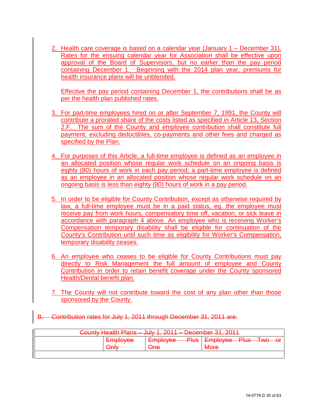2. Health care coverage is based on a calendar year (January 1 – December 31). Rates for the ensuing calendar year for Association shall be effective upon approval of the Board of Supervisors, but no earlier than the pay period containing December 1. Beginning with the 2014 plan year, premiums for health insurance plans will be unblended.

Effective the pay period containing December 1, the contributions shall be as per the health plan published rates.

- 3. For part-time employees hired on or after September 7, 1991, the County will contribute a prorated share of the costs listed as specified in Article 13, Section 2.F. The sum of the County and employee contribution shall constitute full payment, excluding deductibles, co-payments and other fees and charged as specified by the Plan.
- 4. For purposes of this Article, a full-time employee is defined as an employee in an allocated position whose regular work schedule on an ongoing basis is eighty (80) hours of work in each pay period; a part-time employee is defined as an employee in an allocated position whose regular work schedule on an ongoing basis is less than eighty (80) hours of work in a pay period.
- 5. In order to be eligible for County Contribution, except as otherwise required by law, a full-time employee must be in a paid status, eg. the employee must receive pay from work hours, compensatory time off, vacation, or sick leave in accordance with paragraph 4 above. An employee who is receiving Worker's Compensation temporary disability shall be eligible for continuation of the County's Contribution until such time as eligibility for Worker's Compensation, temporary disability ceases.
- 6. An employee who ceases to be eligible for County Contributions must pay directly to Risk Management the full amount of employee and County Contribution in order to retain benefit coverage under the County sponsored Health/Dental benefit plan.
- 7. The County will not contribute toward the cost of any plan other than those sponsored by the County.
- **Contribution rates for July 1, 2011 through December 31, 2011 are:**

| County Hoalth Plane Luly 1, 2011 December 31, 2011<br><del>ovunty Hoalth Flaho</del><br><del>ouivi. 2011</del><br><del>ד דט האטוווטטסט דו</del> |             |                 |             |                      |  |  |  |  |
|-------------------------------------------------------------------------------------------------------------------------------------------------|-------------|-----------------|-------------|----------------------|--|--|--|--|
|                                                                                                                                                 | Employee    | <b>Employee</b> | <b>Plus</b> | Employee Plus Two or |  |  |  |  |
|                                                                                                                                                 | ` Inly<br>₩ | <del>One</del>  |             | <b>More</b>          |  |  |  |  |
|                                                                                                                                                 |             |                 |             |                      |  |  |  |  |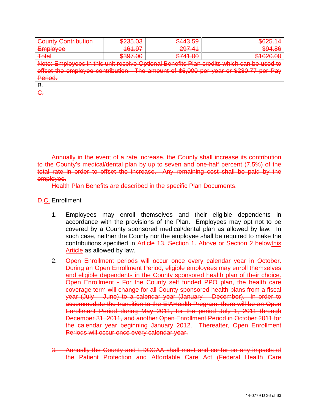| County Contribution<br><del>oouπv</del><br><del>oommouwn</del>                                                                                                                                                 | <b>1032 US</b><br><del>ozoo.oo</del> | \$443.59                    | <u>RAO5 17</u><br><del>wazu. 14</del> |  |  |  |
|----------------------------------------------------------------------------------------------------------------------------------------------------------------------------------------------------------------|--------------------------------------|-----------------------------|---------------------------------------|--|--|--|
| Employee<br><del>EMMUVCC</del>                                                                                                                                                                                 | 161.07<br><del>101.91</del>          | 207,41<br><del>201.41</del> | 394.86                                |  |  |  |
| <b>Total</b>                                                                                                                                                                                                   | \$397.00                             | \$741.00                    | \$1020.00                             |  |  |  |
| Note: Employees in this unit receive Optional Repetits Plan credits which can be used to<br><del>NUIC. EHIDIUVCCo in uno unic</del><br><del>novoivo Opiionai Donoilla Fian uloulla which ball De useu tu</del> |                                      |                             |                                       |  |  |  |
| offset the employee contribution. The amount of \$6,000 per year or \$230.77 per Pay                                                                                                                           |                                      |                             |                                       |  |  |  |
| Period.                                                                                                                                                                                                        |                                      |                             |                                       |  |  |  |
|                                                                                                                                                                                                                |                                      |                             |                                       |  |  |  |

B. C.

Annually in the event of a rate increase, the County shall increase its contribution to the County's medical/dental plan by up to seven and one-half percent (7.5%) of the total rate in order to offset the increase. Any remaining cost shall be paid by the employee.

Health Plan Benefits are described in the specific Plan Documents.

**D.C.** Enrollment

- 1. Employees may enroll themselves and their eligible dependents in accordance with the provisions of the Plan. Employees may opt not to be covered by a County sponsored medical/dental plan as allowed by law. In such case, neither the County nor the employee shall be required to make the contributions specified in Article 13. Section 1. Above or Section 2 belowthis Article as allowed by law.
- 2. Open Enrollment periods will occur once every calendar year in October. During an Open Enrollment Period, eligible employees may enroll themselves and eligible dependents in the County sponsored health plan of their choice. Open Enrollment - For the County self funded PPO plan, the health care coverage term will change for all County sponsored health plans from a fiscal year (July – June) to a calendar year (January – December). In order to accommodate the transition to the EIAHealth Program, there will be an Open Enrollment Period during May 2011, for the period July 1, 2011 through December 31, 2011, and another Open Enrollment Period in October 2011 for the calendar year beginning January 2012. Thereafter, Open Enrollment Periods will occur once every calendar year.
- Annually the County and EDCCAA shall meet and confer on any impacts of the Patient Protection and Affordable Care Act (Federal Health Care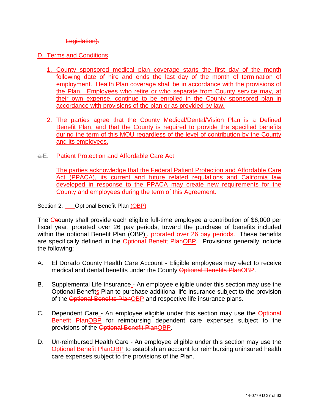Legislation).

- D. Terms and Conditions
	- 1. County sponsored medical plan coverage starts the first day of the month following date of hire and ends the last day of the month of termination of employment. Health Plan coverage shall be in accordance with the provisions of the Plan. Employees who retire or who separate from County service may, at their own expense, continue to be enrolled in the County sponsored plan in accordance with provisions of the plan or as provided by law.
	- 2. The parties agree that the County Medical/Dental/Vision Plan is a Defined Benefit Plan, and that the County is required to provide the specified benefits during the term of this MOU regardless of the level of contribution by the County and its employees.
- a.E. Patient Protection and Affordable Care Act

The parties acknowledge that the Federal Patient Protection and Affordable Care Act (PPACA), its current and future related regulations and California law developed in response to the PPACA may create new requirements for the County and employees during the term of this Agreement.

<span id="page-36-0"></span>Section 2. **Optional Benefit Plan (OBP)** 

The Csounty shall provide each eligible full-time employee a contribution of \$6,000 per fiscal year, prorated over 26 pay periods, toward the purchase of benefits included within the optional Benefit Plan (OBP)., prorated over 26 pay periods. These benefits are specifically defined in the Optional Benefit PlanOBP. Provisions generally include the following:

- A. El Dorado County Health Care Account Eligible employees may elect to receive medical and dental benefits under the County Optional Benefits PlanOBP.
- B. Supplemental Life Insurance An employee eligible under this section may use the Optional Benefits Plan to purchase additional life insurance subject to the provision of the Optional Benefits PlanOBP and respective life insurance plans.
- C. Dependent Care An employee eligible under this section may use the Optional Benefit PlanOBP for reimbursing dependent care expenses subject to the provisions of the Optional Benefit PlanOBP.
- D. Un-reimbursed Health Care An employee eligible under this section may use the Optional Benefit PlanOBP to establish an account for reimbursing uninsured health care expenses subject to the provisions of the Plan.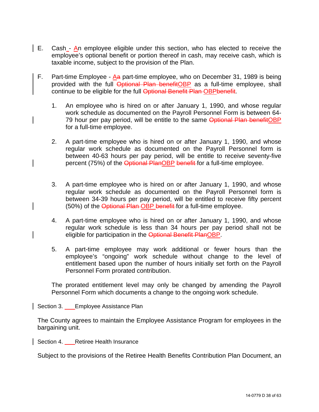- E. Cash  $\overline{A}$ n employee eligible under this section, who has elected to receive the employee's optional benefit or portion thereof in cash, may receive cash, which is taxable income, subject to the provision of the Plan.
	- F. Part-time Employee  $\underline{A}a$  part-time employee, who on December 31, 1989 is being provided with the full Optional Plan benefitOBP as a full-time employee, shall continue to be eligible for the full Optional Benefit Plan OBPbenefit.
		- 1. An employee who is hired on or after January 1, 1990, and whose regular work schedule as documented on the Payroll Personnel Form is between 64- 79 hour per pay period, will be entitle to the same Optional Plan benefitOBP for a full-time employee.
		- 2. A part-time employee who is hired on or after January 1, 1990, and whose regular work schedule as documented on the Payroll Personnel form is between 40-63 hours per pay period, will be entitle to receive seventy-five percent (75%) of the Optional PlanOBP benefit for a full-time employee.
		- 3. A part-time employee who is hired on or after January 1, 1990, and whose regular work schedule as documented on the Payroll Personnel form is between 34-39 hours per pay period, will be entitled to receive fifty percent (50%) of the Optional Plan-OBP benefit-for a full-time employee.
		- 4. A part-time employee who is hired on or after January 1, 1990, and whose regular work schedule is less than 34 hours per pay period shall not be eligible for participation in the Optional Benefit PlanOBP.
		- 5. A part-time employee may work additional or fewer hours than the employee's "ongoing" work schedule without change to the level of entitlement based upon the number of hours initially set forth on the Payroll Personnel Form prorated contribution.

The prorated entitlement level may only be changed by amending the Payroll Personnel Form which documents a change to the ongoing work schedule.

<span id="page-37-0"></span>Section 3. Employee Assistance Plan

The County agrees to maintain the Employee Assistance Program for employees in the bargaining unit.

<span id="page-37-1"></span>Section 4. Retiree Health Insurance

Subject to the provisions of the Retiree Health Benefits Contribution Plan Document, an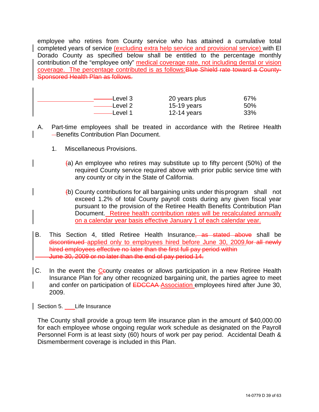employee who retires from County service who has attained a cumulative total completed years of service (excluding extra help service and provisional service) with El Dorado County as specified below shall be entitled to the percentage monthly contribution of the "employee only" medical coverage rate, not including dental or vision coverage. The percentage contributed is as follows:Blue Shield rate toward a County-Sponsored Health Plan as follows.

| –Level 3         | 20 years plus | 67% |
|------------------|---------------|-----|
| Level 2          | $15-19$ years | 50% |
| $\equiv$ Level 1 | 12-14 years   | 33% |

- A. Part-time employees shall be treated in accordance with the Retiree Health **-Benefits Contribution Plan Document.** 
	- 1. Miscellaneous Provisions.
		- $(a)$  An employee who retires may substitute up to fifty percent (50%) of the required County service required above with prior public service time with any county or city in the State of California.
		- (b) County contributions for all bargaining units under this program shall not exceed 1.2% of total County payroll costs during any given fiscal year pursuant to the provision of the Retiree Health Benefits Contribution Plan Document. Retiree health contribution rates will be recalculated annually on a calendar year basis effective January 1 of each calendar year.
- B. This Section 4, titled Retiree Health Insurance, as stated above shall be discontinued applied only to employees hired before June 30, 2009 for all newly hired employees effective no later than the first full pay period within June 30, 2009 or no later than the end of pay period 14.
- $|C_1|$  In the event the C sounty creates or allows participation in a new Retiree Health Insurance Plan for any other recognized bargaining unit, the parties agree to meet and confer on participation of EDCCAA Association employees hired after June 30, 2009.

<span id="page-38-0"></span>Section 5. Life Insurance

The County shall provide a group term life insurance plan in the amount of \$40,000.00 for each employee whose ongoing regular work schedule as designated on the Payroll Personnel Form is at least sixty (60) hours of work per pay period. Accidental Death & Dismemberment coverage is included in this Plan.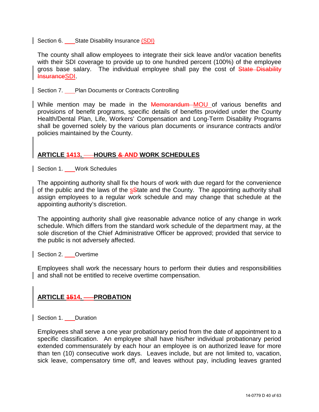<span id="page-39-0"></span>Section 6. State Disability Insurance (SDI)

The county shall allow employees to integrate their sick leave and/or vacation benefits with their SDI coverage to provide up to one hundred percent (100%) of the employee gross base salary. The individual employee shall pay the cost of State Disability InsuranceSDI.

#### <span id="page-39-1"></span>Section 7. Plan Documents or Contracts Controlling

While mention may be made in the **Memorandum** MOU of various benefits and provisions of benefit programs, specific details of benefits provided under the County Health/Dental Plan, Life, Workers' Compensation and Long-Term Disability Programs shall be governed solely by the various plan documents or insurance contracts and/or policies maintained by the County.

#### <span id="page-39-2"></span>ARTICLE **4413. - HOURS & AND WORK SCHEDULES**

<span id="page-39-3"></span>Section 1. Work Schedules

The appointing authority shall fix the hours of work with due regard for the convenience of the public and the laws of the salate and the County. The appointing authority shall assign employees to a regular work schedule and may change that schedule at the appointing authority's discretion.

The appointing authority shall give reasonable advance notice of any change in work schedule. Which differs from the standard work schedule of the department may, at the sole discretion of the Chief Administrative Officer be approved; provided that service to the public is not adversely affected.

<span id="page-39-4"></span>Section 2. Overtime

Employees shall work the necessary hours to perform their duties and responsibilities and shall not be entitled to receive overtime compensation.

#### <span id="page-39-5"></span>**ARTICLE 4514 - PROBATION**

<span id="page-39-6"></span>Section 1. Duration

Employees shall serve a one year probationary period from the date of appointment to a specific classification. An employee shall have his/her individual probationary period extended commensurately by each hour an employee is on authorized leave for more than ten (10) consecutive work days. Leaves include, but are not limited to, vacation, sick leave, compensatory time off, and leaves without pay, including leaves granted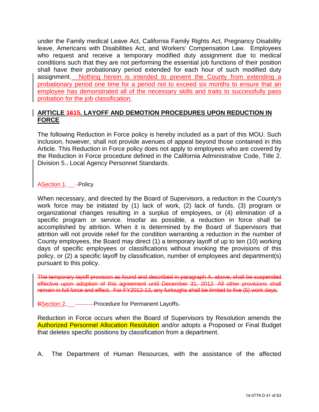under the Family medical Leave Act, California Family Rights Act, Pregnancy Disability leave, Americans with Disabilities Act, and Workers' Compensation Law. Employees who request and receive a temporary modified duty assignment due to medical conditions such that they are not performing the essential job functions of their position shall have their probationary period extended for each hour of such modified duty assignment. Nothing herein is intended to prevent the County from extending a probationary period one time for a period not to exceed six months to ensure that an employee has demonstrated all of the necessary skills and traits to successfully pass probation for the job classification.

#### <span id="page-40-0"></span>**ARTICLE 1615. LAYOFF AND DEMOTION PROCEDURES UPON REDUCTION IN FORCE**

The following Reduction in Force policy is hereby included as a part of this MOU. Such inclusion, however, shall not provide avenues of appeal beyond those contained in this Article. This Reduction in Force policy does not apply to employees who are covered by the Reduction in Force procedure defined in the California Administrative Code, Title 2. Division 5., Local Agency Personnel Standards.

ASection 1. - Policy

When necessary, and directed by the Board of Supervisors, a reduction in the County's work force may be initiated by (1) lack of work, (2) lack of funds, (3) program or organizational changes resulting in a surplus of employees, or (4) elimination of a specific program or service. Insofar as possible, a reduction in force shall be accomplished by attrition. When it is determined by the Board of Supervisors that attrition will not provide relief for the condition warranting a reduction in the number of County employees, the Board may direct (1) a temporary layoff of up to ten (10) working days of specific employees or classifications without invoking the provisions of this policy, or (2) a specific layoff by classification, number of employees and department(s) pursuant to this policy.

The temporary layoff provision as found and described in paragraph A. above, shall be suspended effective upon adoption of this agreement until December 31, 2012. All other provisions shall remain in full force and effect. For FY2012-13, any furloughs shall be limited to five (5) work days.

BSection 2. **Procedure for Permanent Layoffs.** 

Reduction in Force occurs when the Board of Supervisors by Resolution amends the Authorized Personnel Allocation Resolution and/or adopts a Proposed or Final Budget that deletes specific positions by classification from a department.

A. The Department of Human Resources, with the assistance of the affected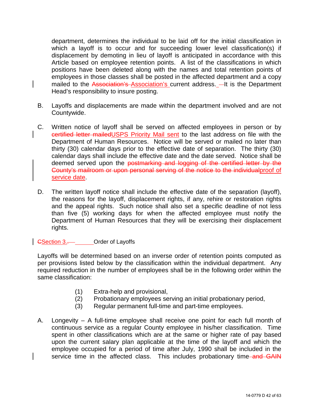department, determines the individual to be laid off for the initial classification in which a layoff is to occur and for succeeding lower level classification(s) if displacement by demoting in lieu of layoff is anticipated in accordance with this Article based on employee retention points. A list of the classifications in which positions have been deleted along with the names and total retention points of employees in those classes shall be posted in the affected department and a copy mailed to the Association's Association's current address. - It is the Department Head's responsibility to insure posting.

- B. Layoffs and displacements are made within the department involved and are not Countywide.
- C. Written notice of layoff shall be served on affected employees in person or by certified letter mailedUSPS Priority Mail sent to the last address on file with the Department of Human Resources. Notice will be served or mailed no later than thirty (30) calendar days prior to the effective date of separation. The thirty (30) calendar days shall include the effective date and the date served. Notice shall be deemed served upon the postmarking and logging of the certified letter by the County's mailroom or upon personal serving of the notice to the individualproof of service date.
- D. The written layoff notice shall include the effective date of the separation (layoff), the reasons for the layoff, displacement rights, if any, rehire or restoration rights and the appeal rights. Such notice shall also set a specific deadline of not less than five (5) working days for when the affected employee must notify the Department of Human Resources that they will be exercising their displacement rights.

GSection 3.. Order of Layoffs

Layoffs will be determined based on an inverse order of retention points computed as per provisions listed below by the classification within the individual department. Any required reduction in the number of employees shall be in the following order within the same classification:

- (1) Extra-help and provisional,
- (2) Probationary employees serving an initial probationary period,
- (3) Regular permanent full-time and part-time employees.
- A. Longevity A full-time employee shall receive one point for each full month of continuous service as a regular County employee in his/her classification. Time spent in other classifications which are at the same or higher rate of pay based upon the current salary plan applicable at the time of the layoff and which the employee occupied for a period of time after July, 1990 shall be included in the service time in the affected class. This includes probationary time and GAIN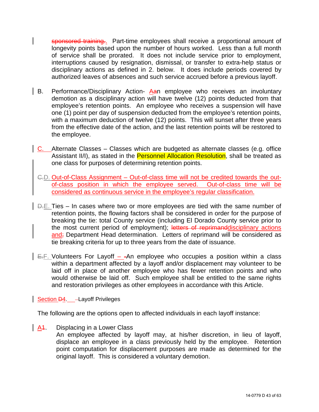sponsored training.. Part-time employees shall receive a proportional amount of longevity points based upon the number of hours worked. Less than a full month of service shall be prorated. It does not include service prior to employment, interruptions caused by resignation, dismissal, or transfer to extra-help status or disciplinary actions as defined in 2. below. It does include periods covered by authorized leaves of absences and such service accrued before a previous layoff.

- B. Performance/Disciplinary Action- Aan employee who receives an involuntary demotion as a disciplinary action will have twelve (12) points deducted from that employee's retention points. An employee who receives a suspension will have one (1) point per day of suspension deducted from the employee's retention points, with a maximum deduction of twelve (12) points. This will sunset after three years from the effective date of the action, and the last retention points will be restored to the employee.
- C. Alternate Classes Classes which are budgeted as alternate classes (e.g. office Assistant II/I), as stated in the Personnel Allocation Resolution, shall be treated as one class for purposes of determining retention points.
- C.D. Out-of-Class Assignment Out-of-class time will not be credited towards the outof-class position in which the employee served. Out-of-class time will be considered as continuous service in the employee's regular classification.
- D.E. Ties In cases where two or more employees are tied with the same number of retention points, the flowing factors shall be considered in order for the purpose of breaking the tie: total County service (including El Dorado County service prior to the most current period of employment); letters of reprimand disciplinary actions and; Department Head determination. Letters of reprimand will be considered as tie breaking criteria for up to three years from the date of issuance.
- $E = F$ . Volunteers For Layoff - An employee who occupies a position within a class within a department affected by a layoff and/or displacement may volunteer to be laid off in place of another employee who has fewer retention points and who would otherwise be laid off. Such employee shall be entitled to the same rights and restoration privileges as other employees in accordance with this Article.

#### Section D4. - Layoff Privileges

The following are the options open to affected individuals in each layoff instance:

A<sub>1</sub>. Displacing in a Lower Class

An employee affected by layoff may, at his/her discretion, in lieu of layoff, displace an employee in a class previously held by the employee. Retention point computation for displacement purposes are made as determined for the original layoff. This is considered a voluntary demotion.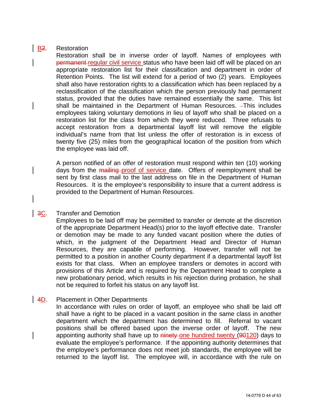#### **B2.** Restoration

Restoration shall be in inverse order of layoff. Names of employees with permanent-regular civil service status who have been laid off will be placed on an appropriate restoration list for their classification and department in order of Retention Points. The list will extend for a period of two (2) years. Employees shall also have restoration rights to a classification which has been replaced by a reclassification of the classification which the person previously had permanent status, provided that the duties have remained essentially the same. This list shall be maintained in the Department of Human Resources. - This includes employees taking voluntary demotions in lieu of layoff who shall be placed on a restoration list for the class from which they were reduced. Three refusals to accept restoration from a departmental layoff list will remove the eligible individual's name from that list unless the offer of restoration is in excess of twenty five (25) miles from the geographical location of the position from which the employee was laid off.

A person notified of an offer of restoration must respond within ten (10) working days from the mailing proof of service date. Offers of reemployment shall be sent by first class mail to the last address on file in the Department of Human Resources. It is the employee's responsibility to insure that a current address is provided to the Department of Human Resources.

#### 3C. Transfer and Demotion

Employees to be laid off may be permitted to transfer or demote at the discretion of the appropriate Department Head(s) prior to the layoff effective date. Transfer or demotion may be made to any funded vacant position where the duties of which, in the judgment of the Department Head and Director of Human Resources, they are capable of performing. However, transfer will not be permitted to a position in another County department if a departmental layoff list exists for that class. When an employee transfers or demotes in accord with provisions of this Article and is required by the Department Head to complete a new probationary period, which results in his rejection during probation, he shall not be required to forfeit his status on any layoff list.

#### 4D. Placement in Other Departments

In accordance with rules on order of layoff, an employee who shall be laid off shall have a right to be placed in a vacant position in the same class in another department which the department has determined to fill. Referral to vacant positions shall be offered based upon the inverse order of layoff. The new appointing authority shall have up to ninety one hundred twenty (90120) days to evaluate the employee's performance. If the appointing authority determines that the employee's performance does not meet job standards, the employee will be returned to the layoff list. The employee will, in accordance with the rule on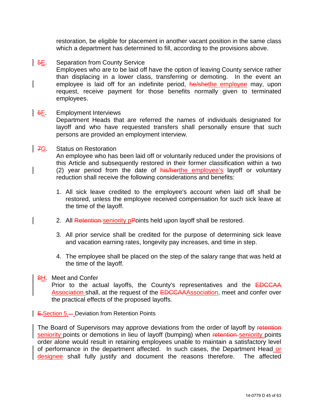restoration, be eligible for placement in another vacant position in the same class which a department has determined to fill, according to the provisions above.

#### **5E.** Separation from County Service

Employees who are to be laid off have the option of leaving County service rather than displacing in a lower class, transferring or demoting. In the event an employee is laid off for an indefinite period, he/shethe employee may, upon request, receive payment for those benefits normally given to terminated employees.

#### $6F.$  Employment Interviews

Department Heads that are referred the names of individuals designated for layoff and who have requested transfers shall personally ensure that such persons are provided an employment interview.

#### 7G. Status on Restoration

An employee who has been laid off or voluntarily reduced under the provisions of this Article and subsequently restored in their former classification within a two (2) year period from the date of **his/herthe employee's** layoff or voluntary reduction shall receive the following considerations and benefits:

- 1. All sick leave credited to the employee's account when laid off shall be restored, unless the employee received compensation for such sick leave at the time of the layoff.
- 2. All Retention seniority pPoints held upon layoff shall be restored.
- 3. All prior service shall be credited for the purpose of determining sick leave and vacation earning rates, longevity pay increases, and time in step.
- 4. The employee shall be placed on the step of the salary range that was held at the time of the layoff.

#### 8H. Meet and Confer

Prior to the actual layoffs, the County's representatives and the **EDCCAA** Association shall, at the request of the EDCCAAAssociation, meet and confer over the practical effects of the proposed layoffs.

**E.**Section 5.-Deviation from Retention Points

The Board of Supervisors may approve deviations from the order of layoff by retention seniority points or demotions in lieu of layoff (bumping) when retention seniority points order alone would result in retaining employees unable to maintain a satisfactory level of performance in the department affected. In such cases, the Department Head or designee shall fully justify and document the reasons therefore. The affected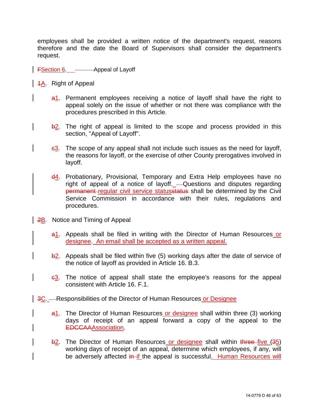employees shall be provided a written notice of the department's request, reasons therefore and the date the Board of Supervisors shall consider the department's request.

**FSection 6. Appeal of Layoff** 

- **4A.** Right of Appeal
	- a1. Permanent employees receiving a notice of layoff shall have the right to appeal solely on the issue of whether or not there was compliance with the procedures prescribed in this Article.
	- $\frac{1}{2}$ . The right of appeal is limited to the scope and process provided in this section, "Appeal of Layoff".
	- $\frac{c3}{2}$ . The scope of any appeal shall not include such issues as the need for layoff, the reasons for layoff, or the exercise of other County prerogatives involved in layoff.
	- $\frac{d4}{d}$ . Probationary, Provisional, Temporary and Extra Help employees have no right of appeal of a notice of layoff. All Questions and disputes regarding permanent regular civil service statusstatus shall be determined by the Civil Service Commission in accordance with their rules, regulations and procedures.
- 2B. Notice and Timing of Appeal
	- a1. Appeals shall be filed in writing with the Director of Human Resources or designee. An email shall be accepted as a written appeal.
	- $\frac{1}{2}$ . Appeals shall be filed within five (5) working days after the date of service of the notice of layoff as provided in Article 16. B.3.
	- $e3.$  The notice of appeal shall state the employee's reasons for the appeal consistent with Article 16. F.1.
- 3C. Responsibilities of the Director of Human Resources or Designee
	- a1. The Director of Human Resources or designee shall within three (3) working days of receipt of an appeal forward a copy of the appeal to the EDCCAAAssociation.
	- b<sub>2</sub>. The Director of Human Resources or designee shall within three five (35) working days of receipt of an appeal, determine which employees, if any, will be adversely affected in if the appeal is successful. Human Resources will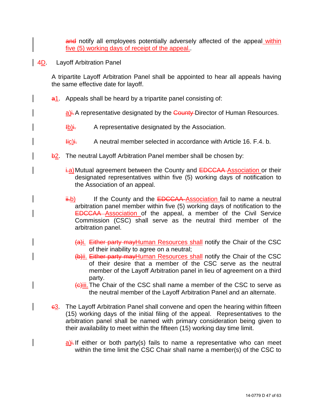and notify all employees potentially adversely affected of the appeal within five (5) working days of receipt of the appeal..

4D. Layoff Arbitration Panel

A tripartite Layoff Arbitration Panel shall be appointed to hear all appeals having the same effective date for layoff.

a1. Appeals shall be heard by a tripartite panel consisting of:

 $a$ ). A representative designated by the County Director of Human Resources.

- $\underline{Ib}$  A representative designated by the Association.
- Hic)i. A neutral member selected in accordance with Article 16. F.4. b.
- $\frac{1}{2}$ . The neutral Layoff Arbitration Panel member shall be chosen by:
	- i.a) Mutual agreement between the County and **EDCCAA** Association or their designated representatives within five (5) working days of notification to the Association of an appeal.
	- ii.b) If the County and the EDCCAA Association fail to name a neutral arbitration panel member within five (5) working days of notification to the EDCCAA Association of the appeal, a member of the Civil Service Commission (CSC) shall serve as the neutral third member of the arbitration panel.
		- (a)i. Either party may Human Resources shall notify the Chair of the CSC of their inability to agree on a neutral;
		- (b)ii. Either party mayHuman Resources shall notify the Chair of the CSC of their desire that a member of the CSC serve as the neutral member of the Layoff Arbitration panel in lieu of agreement on a third party.
		- (c)iii.The Chair of the CSC shall name a member of the CSC to serve as the neutral member of the Layoff Arbitration Panel and an alternate.
- $-63$ . The Layoff Arbitration Panel shall convene and open the hearing within fifteen (15) working days of the initial filing of the appeal. Representatives to the arbitration panel shall be named with primary consideration being given to their availability to meet within the fifteen (15) working day time limit.
	- $\underline{a}$ ). If either or both party(s) fails to name a representative who can meet within the time limit the CSC Chair shall name a member(s) of the CSC to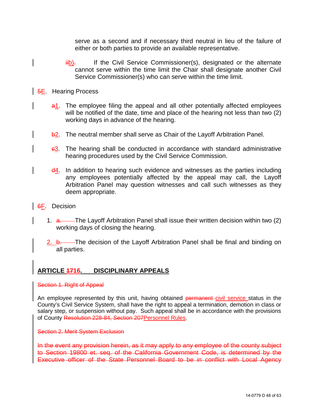serve as a second and if necessary third neutral in lieu of the failure of either or both parties to provide an available representative.

- $\frac{H_D}{H_D}$ . If the Civil Service Commissioner(s), designated or the alternate cannot serve within the time limit the Chair shall designate another Civil Service Commissioner(s) who can serve within the time limit.
- **5E.** Hearing Process
	- a<sup>1</sup>. The employee filing the appeal and all other potentially affected employees will be notified of the date, time and place of the hearing not less than two (2) working days in advance of the hearing.
	- b<sup>2</sup>. The neutral member shall serve as Chair of the Layoff Arbitration Panel.
	- c3. The hearing shall be conducted in accordance with standard administrative hearing procedures used by the Civil Service Commission.
	- $\frac{d4}{1}$ . In addition to hearing such evidence and witnesses as the parties including any employees potentially affected by the appeal may call, the Layoff Arbitration Panel may question witnesses and call such witnesses as they deem appropriate.
- **6F.** Decision
	- 1. a. The Layoff Arbitration Panel shall issue their written decision within two (2) working days of closing the hearing.
	- $2.$  b. The decision of the Layoff Arbitration Panel shall be final and binding on all parties.

#### <span id="page-47-0"></span>**ARTICLE 1716. DISCIPLINARY APPEALS**

#### Section 1. Right of Appeal

<span id="page-47-1"></span>An employee represented by this unit, having obtained permanent-civil service status in the County's Civil Service System, shall have the right to appeal a termination, demotion in class or salary step, or suspension without pay. Such appeal shall be in accordance with the provisions of County Resolution 228-84, Section 207Personnel Rules.

#### Section 2. Merit System Exclusion

In the event any provision herein, as it may apply to any employee of the county subject to Section 19800 et. seq. of the California Government Code, is determined by the Executive officer of the State Personnel Board to be in conflict with Local Agency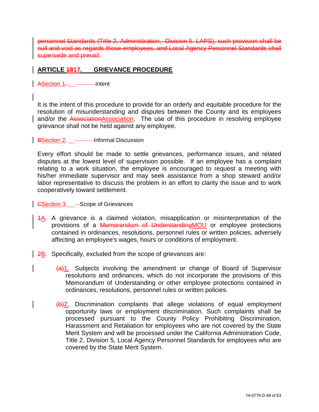personnel Standards (Title 2, Administration, Division 5. LAPS), such provision shall be null and void as regards those employees, and Local Agency Personnel Standards shall supersede and prevail.

#### <span id="page-48-0"></span>**ARTICLE 1817. GRIEVANCE PROCEDURE**

 $\overline{\phantom{a}}$  ASection 1...  $\overline{\phantom{a}}$  Intent

It is the intent of this procedure to provide for an orderly and equitable procedure for the resolution of misunderstanding and disputes between the County and its employees and/or the AssociationAssociation. The use of this procedure in resolving employee grievance shall not be held against any employee.

**BSection 2.** \_\_\_\_\_\_\_Informal Discussion

Every effort should be made to settle grievances, performance issues, and related disputes at the lowest level of supervision possible. If an employee has a complaint relating to a work situation, the employee is encouraged to request a meeting with his/her immediate supervisor and may seek assistance from a shop steward and/or labor representative to discuss the problem in an effort to clarity the issue and to work cooperatively toward settlement.

GSection 3. 
— Scope of Grievances

- 1A. A grievance is a claimed violation, misapplication or misinterpretation of the provisions of a Memorandum of UnderstandingMOU or employee protections contained in ordinances, resolutions, personnel rules or written policies, adversely affecting an employee's wages, hours or conditions of employment.
- $\vert$  2B. Specifically, excluded from the scope of grievances are:
	- $(a)$ 1. Subjects involving the amendment or change of Board of Supervisor resolutions and ordinances, which do not incorporate the provisions of this Memorandum of Understanding or other employee protections contained in ordinances, resolutions, personnel rules or written policies.
	- $(b)$ 2. Discrimination complaints that allege violations of equal employment opportunity laws or employment discrimination. Such complaints shall be processed pursuant to the County Policy Prohibiting Discrimination, Harassment and Retaliation for employees who are not covered by the State Merit System and will be processed under the California Administration Code, Title 2, Division 5, Local Agency Personnel Standards for employees who are covered by the State Merit System.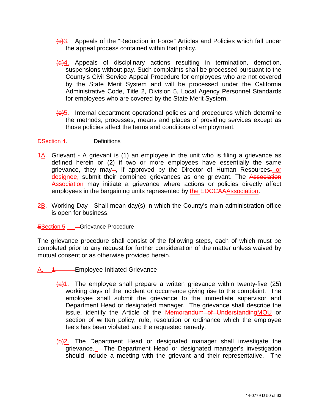- $\frac{1}{2}$ . Appeals of the "Reduction in Force" Articles and Policies which fall under the appeal process contained within that policy.
- $\frac{d}{dt}$ . Appeals of disciplinary actions resulting in termination, demotion, suspensions without pay. Such complaints shall be processed pursuant to the County's Civil Service Appeal Procedure for employees who are not covered by the State Merit System and will be processed under the California Administrative Code, Title 2, Division 5, Local Agency Personnel Standards for employees who are covered by the State Merit System.
- (e)5. Internal department operational policies and procedures which determine the methods, processes, means and places of providing services except as those policies affect the terms and conditions of employment.

DSection 4. ———Definitions

- $1.4A$ . Grievant A grievant is (1) an employee in the unit who is filing a grievance as defined herein or (2) if two or more employees have essentially the same grievance, they may-, if approved by the Director of Human Resources, or designee, submit their combined grievances as one grievant. The Association Association may initiate a grievance where actions or policies directly affect employees in the bargaining units represented by the EDCCAAAssociation.
- 2B. Working Day Shall mean day(s) in which the County's main administration office is open for business.

**ESection 5.** - Grievance Procedure

The grievance procedure shall consist of the following steps, each of which must be completed prior to any request for further consideration of the matter unless waived by mutual consent or as otherwise provided herein.

- A. 4. Employee-Initiated Grievance
	- $\frac{1}{2}$ . The employee shall prepare a written grievance within twenty-five (25) working days of the incident or occurrence giving rise to the complaint. The employee shall submit the grievance to the immediate supervisor and Department Head or designated manager. The grievance shall describe the issue, identify the Article of the Memorandum of Understanding MOU or section of written policy, rule, resolution or ordinance which the employee feels has been violated and the requested remedy.
	- $(b)$ 2. The Department Head or designated manager shall investigate the grievance.\_-The Department Head or designated manager's investigation should include a meeting with the grievant and their representative. The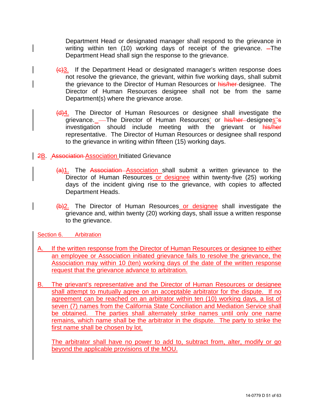Department Head or designated manager shall respond to the grievance in writing within ten (10) working days of receipt of the grievance. - The Department Head shall sign the response to the grievance.

- $\left(\frac{e}{c}\right)$ 3. If the Department Head or designated manager's written response does not resolve the grievance, the grievant, within five working days, shall submit the grievance to the Director of Human Resources or his/her designee. The Director of Human Resources designee shall not be from the same Department(s) where the grievance arose.
- $\frac{d}{4}$ . The Director of Human Resources or designee shall investigate the grievance. - The Director of Human Resources' or his/her designees''s investigation should include meeting with the grievant or his/her representative. The Director of Human Resources or designee shall respond to the grievance in writing within fifteen (15) working days.
- **2B.** Association-Association Initiated Grievance
	- $(a)$ 1. The Association Association shall submit a written grievance to the Director of Human Resources or designee within twenty-five (25) working days of the incident giving rise to the grievance, with copies to affected Department Heads.
	- (b)2. The Director of Human Resources or designee shall investigate the grievance and, within twenty (20) working days, shall issue a written response to the grievance.

Section 6. Arbitration

- A. If the written response from the Director of Human Resources or designee to either an employee or Association initiated grievance fails to resolve the grievance, the Association may within 10 (ten) working days of the date of the written response request that the grievance advance to arbitration.
- B. The grievant's representative and the Director of Human Resources or designee shall attempt to mutually agree on an acceptable arbitrator for the dispute. If no agreement can be reached on an arbitrator within ten (10) working days, a list of seven (7) names from the California State Conciliation and Mediation Service shall be obtained. The parties shall alternately strike names until only one name remains, which name shall be the arbitrator in the dispute. The party to strike the first name shall be chosen by lot.

The arbitrator shall have no power to add to, subtract from, alter, modify or go beyond the applicable provisions of the MOU.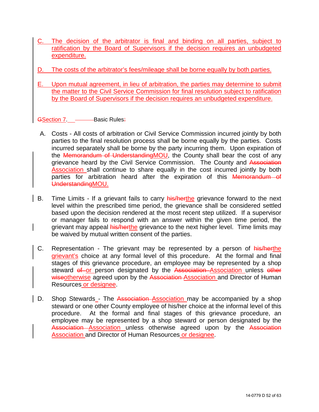- C. The decision of the arbitrator is final and binding on all parties, subject to ratification by the Board of Supervisors if the decision requires an unbudgeted expenditure.
- The costs of the arbitrator's fees/mileage shall be borne equally by both parties.
- E. Upon mutual agreement, in lieu of arbitration, the parties may determine to submit the matter to the Civil Service Commission for final resolution subject to ratification by the Board of Supervisors if the decision requires an unbudgeted expenditure.

GSection 7. -- Basic Rules:

- A. Costs All costs of arbitration or Civil Service Commission incurred jointly by both parties to the final resolution process shall be borne equally by the parties. Costs incurred separately shall be borne by the party incurring them. Upon expiration of the Memorandum of UnderstandingMOU, the County shall bear the cost of any grievance heard by the Civil Service Commission. The County and Association Association shall continue to share equally in the cost incurred jointly by both parties for arbitration heard after the expiration of this Memorandum of UnderstandingMOU.
- B. Time Limits If a grievant fails to carry his/herthe grievance forward to the next level within the prescribed time period, the grievance shall be considered settled based upon the decision rendered at the most recent step utilized. If a supervisor or manager fails to respond with an answer within the given time period, the grievant may appeal his/herthe grievance to the next higher level. Time limits may be waived by mutual written consent of the parties.
- C. Representation The grievant may be represented by a person of his/herthe grievant's choice at any formal level of this procedure. At the formal and final stages of this grievance procedure, an employee may be represented by a shop steward of or person designated by the Association Association unless other wiseotherwise agreed upon by the Association-Association and Director of Human Resources or designee.
- D. Shop Stewards The Association Association may be accompanied by a shop steward or one other County employee of his/her choice at the informal level of this procedure. At the formal and final stages of this grievance procedure, an employee may be represented by a shop steward or person designated by the Association Association unless otherwise agreed upon by the Association Association and Director of Human Resources or designee.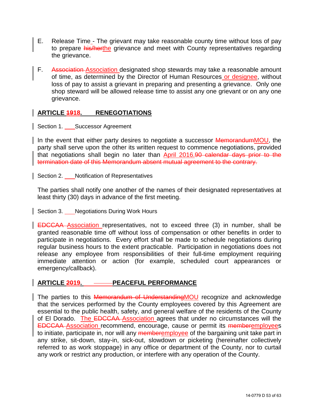- E. Release Time The grievant may take reasonable county time without loss of pay to prepare his/herthe grievance and meet with County representatives regarding the grievance.
- F. Association Association designated shop stewards may take a reasonable amount of time, as determined by the Director of Human Resources or designee, without loss of pay to assist a grievant in preparing and presenting a grievance. Only one shop steward will be allowed release time to assist any one grievant or on any one grievance.

#### <span id="page-52-0"></span>**ARTICLE 1918. RENEGOTIATIONS**

<span id="page-52-1"></span>Section 1. Successor Agreement

In the event that either party desires to negotiate a successor MemorandumMOU, the party shall serve upon the other its written request to commence negotiations, provided that negotiations shall begin no later than April 2016.90 calendar days prior to the termination date of this Memorandum absent mutual agreement to the contrary.

<span id="page-52-2"></span>Section 2. Notification of Representatives

The parties shall notify one another of the names of their designated representatives at least thirty (30) days in advance of the first meeting.

<span id="page-52-3"></span>Section 3. Negotiations During Work Hours

EDCCAA Association representatives, not to exceed three (3) in number, shall be granted reasonable time off without loss of compensation or other benefits in order to participate in negotiations. Every effort shall be made to schedule negotiations during regular business hours to the extent practicable. Participation in negotiations does not release any employee from responsibilities of their full-time employment requiring immediate attention or action (for example, scheduled court appearances or emergency/callback).

#### <span id="page-52-4"></span>ARTICLE 2019. **PEACEFUL PERFORMANCE**

The parties to this **Memorandum of Understanding MOU** recognize and acknowledge that the services performed by the County employees covered by this Agreement are essential to the public health, safety, and general welfare of the residents of the County of El Dorado. The EDCCAA Association agrees that under no circumstances will the EDCCAA Association recommend, encourage, cause or permit its memberemployees to initiate, participate in, nor will any memberemployee of the bargaining unit take part in any strike, sit-down, stay-in, sick-out, slowdown or picketing (hereinafter collectively referred to as work stoppage) in any office or department of the County, nor to curtail any work or restrict any production, or interfere with any operation of the County.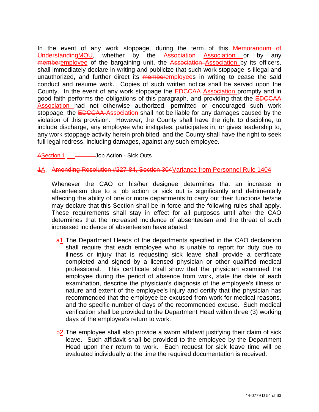In the event of any work stoppage, during the term of this **Memorandum of** UnderstandingMOU, whether by the Association Association or by any memberemployee of the bargaining unit, the Association–Association by its officers, shall immediately declare in writing and publicize that such work stoppage is illegal and unauthorized, and further direct its **memberemployees** in writing to cease the said conduct and resume work. Copies of such written notice shall be served upon the County. In the event of any work stoppage the **EDCCAA** Association promptly and in good faith performs the obligations of this paragraph, and providing that the **EDCCAA** Association had not otherwise authorized, permitted or encouraged such work stoppage, the **EDCCAA** Association shall not be liable for any damages caused by the violation of this provision. However, the County shall have the right to discipline, to include discharge, any employee who instigates, participates in, or gives leadership to, any work stoppage activity herein prohibited, and the County shall have the right to seek full legal redress, including damages, against any such employee.

ASection 1. ———Job Action - Sick Outs

1A. Amending Resolution #227-84, Section 304Variance from Personnel Rule 1404

Whenever the CAO or his/her designee determines that an increase in absenteeism due to a job action or sick out is significantly and detrimentally affecting the ability of one or more departments to carry out their functions he/she may declare that this Section shall be in force and the following rules shall apply. These requirements shall stay in effect for all purposes until after the CAO determines that the increased incidence of absenteeism and the threat of such increased incidence of absenteeism have abated.

- a1. The Department Heads of the departments specified in the CAO declaration shall require that each employee who is unable to report for duty due to illness or injury that is requesting sick leave shall provide a certificate completed and signed by a licensed physician or other qualified medical professional. This certificate shall show that the physician examined the employee during the period of absence from work, state the date of each examination, describe the physician's diagnosis of the employee's illness or nature and extent of the employee's injury and certify that the physician has recommended that the employee be excused from work for medical reasons, and the specific number of days of the recommended excuse. Such medical verification shall be provided to the Department Head within three (3) working days of the employee's return to work.
- b2. The employee shall also provide a sworn affidavit justifying their claim of sick leave. Such affidavit shall be provided to the employee by the Department Head upon their return to work. Each request for sick leave time will be evaluated individually at the time the required documentation is received.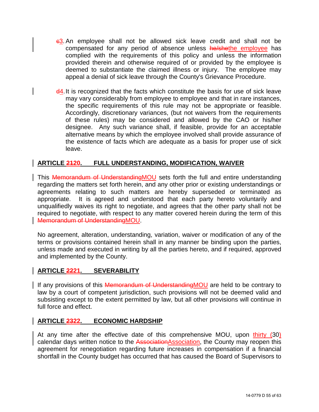- $-63$ . An employee shall not be allowed sick leave credit and shall not be compensated for any period of absence unless he/shethe employee has complied with the requirements of this policy and unless the information provided therein and otherwise required of or provided by the employee is deemed to substantiate the claimed illness or injury. The employee may appeal a denial of sick leave through the County's Grievance Procedure.
- d4. It is recognized that the facts which constitute the basis for use of sick leave may vary considerably from employee to employee and that in rare instances, the specific requirements of this rule may not be appropriate or feasible. Accordingly, discretionary variances, (but not waivers from the requirements of these rules) may be considered and allowed by the CAO or his/her designee. Any such variance shall, if feasible, provide for an acceptable alternative means by which the employee involved shall provide assurance of the existence of facts which are adequate as a basis for proper use of sick leave.

#### <span id="page-54-0"></span>**ARTICLE 2120. FULL UNDERSTANDING, MODIFICATION, WAIVER**

This **Memorandum of UnderstandingMOU** sets forth the full and entire understanding regarding the matters set forth herein, and any other prior or existing understandings or agreements relating to such matters are hereby superseded or terminated as appropriate. It is agreed and understood that each party hereto voluntarily and unqualifiedly waives its right to negotiate, and agrees that the other party shall not be required to negotiate, with respect to any matter covered herein during the term of this Memorandum of UnderstandingMOU.

No agreement, alteration, understanding, variation, waiver or modification of any of the terms or provisions contained herein shall in any manner be binding upon the parties, unless made and executed in writing by all the parties hereto, and if required, approved and implemented by the County.

#### <span id="page-54-1"></span>**ARTICLE 2221. SEVERABILITY**

If any provisions of this Memorandum of Understanding MOU are held to be contrary to law by a court of competent jurisdiction, such provisions will not be deemed valid and subsisting except to the extent permitted by law, but all other provisions will continue in full force and effect.

#### <span id="page-54-2"></span>**ARTICLE 2322. ECONOMIC HARDSHIP**

At any time after the effective date of this comprehensive MOU, upon thirty (30) calendar days written notice to the AssociationAssociation, the County may reopen this agreement for renegotiation regarding future increases in compensation if a financial shortfall in the County budget has occurred that has caused the Board of Supervisors to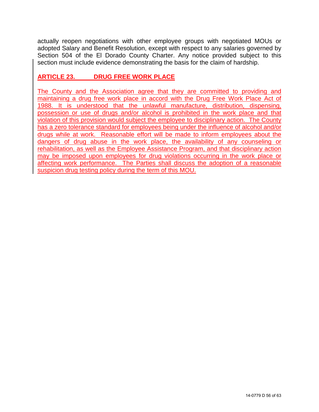actually reopen negotiations with other employee groups with negotiated MOUs or adopted Salary and Benefit Resolution, except with respect to any salaries governed by Section 504 of the El Dorado County Charter. Any notice provided subject to this section must include evidence demonstrating the basis for the claim of hardship.

### **ARTICLE 23. DRUG FREE WORK PLACE**

The County and the Association agree that they are committed to providing and maintaining a drug free work place in accord with the Drug Free Work Place Act of 1988. It is understood that the unlawful manufacture, distribution, dispensing, possession or use of drugs and/or alcohol is prohibited in the work place and that violation of this provision would subject the employee to disciplinary action. The County has a zero tolerance standard for employees being under the influence of alcohol and/or drugs while at work. Reasonable effort will be made to inform employees about the dangers of drug abuse in the work place, the availability of any counseling or rehabilitation, as well as the Employee Assistance Program, and that disciplinary action may be imposed upon employees for drug violations occurring in the work place or affecting work performance. The Parties shall discuss the adoption of a reasonable suspicion drug testing policy during the term of this MOU.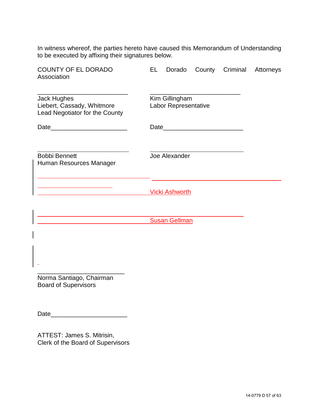In witness whereof, the parties hereto have caused this Memorandum of Understanding to be executed by affixing their signatures below.

| <b>COUNTY OF EL DORADO</b><br>Association                                          | EL                                     | Dorado                |  | County Criminal | Attorneys |
|------------------------------------------------------------------------------------|----------------------------------------|-----------------------|--|-----------------|-----------|
| <b>Jack Hughes</b><br>Liebert, Cassady, Whitmore<br>Lead Negotiator for the County | Kim Gillingham<br>Labor Representative |                       |  |                 |           |
|                                                                                    |                                        |                       |  |                 |           |
| <b>Bobbi Bennett</b><br>Human Resources Manager                                    |                                        | Joe Alexander         |  |                 |           |
|                                                                                    |                                        | <b>Vicki Ashworth</b> |  |                 |           |
|                                                                                    |                                        | <b>Susan Gellman</b>  |  |                 |           |
|                                                                                    |                                        |                       |  |                 |           |
| Norma Santiago, Chairman<br><b>Board of Supervisors</b>                            |                                        |                       |  |                 |           |

Date\_\_\_\_\_\_\_\_\_\_\_\_\_\_\_\_\_\_\_\_\_\_

ATTEST: James S. Mitrisin, Clerk of the Board of Supervisors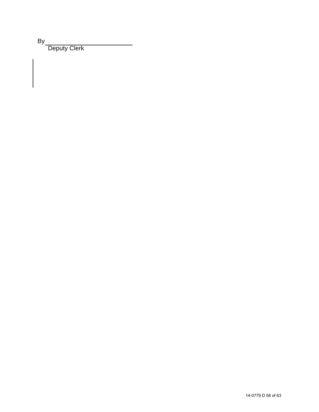By

Deputy Clerk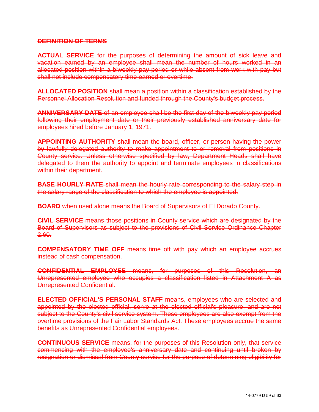#### **DEFINITION OF TERMS**

**ACTUAL SERVICE** for the purposes of determining the amount of sick leave and vacation earned by an employee shall mean the number of hours worked in an allocated position within a biweekly pay period or while absent from work with pay but shall not include compensatory time earned or overtime.

**ALLOCATED POSITION** shall mean a position within a classification established by the Personnel Allocation Resolution and funded through the County's budget process.

**ANNIVERSARY DATE** of an employee shall be the first day of the biweekly pay period following their employment date or their previously established anniversary date for employees hired before January 1, 1971.

**APPOINTING AUTHORITY** shall mean the board, officer, or person having the power by lawfully delegated authority to make appointment to or removal from positions in County service. Unless otherwise specified by law, Department Heads shall have delegated to them the authority to appoint and terminate employees in classifications within their department.

**BASE HOURLY RATE** shall mean the hourly rate corresponding to the salary step in the salary range of the classification to which the employee is appointed.

**BOARD** when used alone means the Board of Supervisors of El Dorado County.

**CIVIL SERVICE** means those positions in County service which are designated by the Board of Supervisors as subject to the provisions of Civil Service Ordinance Chapter 2.60.

**COMPENSATORY TIME OFF** means time off with pay which an employee accrues instead of cash compensation.

**CONFIDENTIAL EMPLOYEE** means, for purposes of this Resolution, an Unrepresented employee who occupies a classification listed in Attachment A as Unrepresented Confidential.

**ELECTED OFFICIAL'S PERSONAL STAFF** means, employees who are selected and appointed by the elected official, serve at the elected official's pleasure, and are not subject to the County's civil service system. These employees are also exempt from the overtime provisions of the Fair Labor Standards Act. These employees accrue the same benefits as Unrepresented Confidential employees.

**CONTINUOUS SERVICE** means, for the purposes of this Resolution only, that service commencing with the employee's anniversary date and continuing until broken by resignation or dismissal from County service for the purpose of determining eligibility for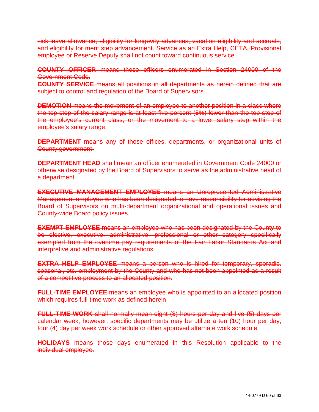sick leave allowance, eligibility for longevity advances, vacation eligibility and accruals, and eligibility for merit step advancement. Service as an Extra Help, CETA, Provisional employee or Reserve Deputy shall not count toward continuous service.

**COUNTY OFFICER** means those officers enumerated in Section 24000 of the Government Code.

**COUNTY SERVICE** means all positions in all departments as herein defined that are subject to control and regulation of the Board of Supervisors.

**DEMOTION** means the movement of an employee to another position in a class where the top step of the salary range is at least five percent (5%) lower than the top step of the employee's current class, or the movement to a lower salary step within the employee's salary range.

**DEPARTMENT** means any of those offices, departments, or organizational units of County government.

**DEPARTMENT HEAD** shall mean an officer enumerated in Government Code 24000 or otherwise designated by the Board of Supervisors to serve as the administrative head of a department.

**EXECUTIVE MANAGEMENT EMPLOYEE** means an Unrepresented Administrative Management employee who has been designated to have responsibility for advising the Board of Supervisors on multi-department organizational and operational issues and County-wide Board policy issues.

**EXEMPT EMPLOYEE** means an employee who has been designated by the County to be elective, executive, administrative, professional or other category specifically exempted from the overtime pay requirements of the Fair Labor Standards Act and interpretive and administrative regulations.

**EXTRA HELP EMPLOYEE** means a person who is hired for temporary, sporadic, seasonal, etc. employment by the County and who has not been appointed as a result of a competitive process to an allocated position.

**FULL-TIME EMPLOYEE** means an employee who is appointed to an allocated position which requires full-time work as defined herein.

**FULL-TIME WORK** shall normally mean eight (8) hours per day and five (5) days per calendar week, however, specific departments may be utilize a ten (10) hour per day, four (4) day per week work schedule or other approved alternate work schedule.

**HOLIDAYS** means those days enumerated in this Resolution applicable to the individual employee.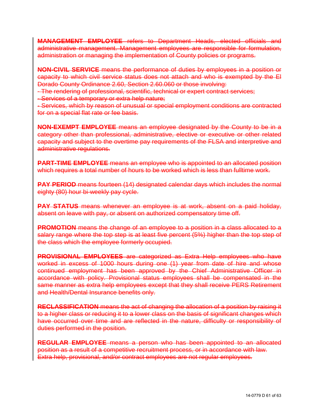**MANAGEMENT EMPLOYEE** refers to Department Heads, elected officials and administrative management. Management employees are responsible for formulation, administration or managing the implementation of County policies or programs.

**NON-CIVIL SERVICE** means the performance of duties by employees in a position or capacity to which civil service status does not attach and who is exempted by the El Dorado County Ordinance 2.60, Section 2.60.060 or those involving:

- The rendering of professional, scientific, technical or expert contract services;

- Services of a temporary or extra help nature;

- Services, which by reason of unusual or special employment conditions are contracted for on a special flat rate or fee basis.

**NON-EXEMPT EMPLOYEE** means an employee designated by the County to be in a category other than professional, administrative, elective or executive or other related capacity and subject to the overtime pay requirements of the FLSA and interpretive and administrative regulations.

**PART-TIME EMPLOYEE** means an employee who is appointed to an allocated position which requires a total number of hours to be worked which is less than fulltime work.

**PAY PERIOD** means fourteen (14) designated calendar days which includes the normal eighty (80) hour bi-weekly pay cycle.

**PAY STATUS** means whenever an employee is at work, absent on a paid holiday, absent on leave with pay, or absent on authorized compensatory time off.

**PROMOTION** means the change of an employee to a position in a class allocated to a salary range where the top step is at least five percent (5%) higher than the top step of the class which the employee formerly occupied.

**PROVISIONAL EMPLOYEES** are categorized as Extra Help employees who have worked in excess of 1000 hours during one (1) year from date of hire and whose continued employment has been approved by the Chief Administrative Officer in accordance with policy. Provisional status employees shall be compensated in the same manner as extra help employees except that they shall receive PERS Retirement and Health/Dental Insurance benefits only.

**RECLASSIFICATION** means the act of changing the allocation of a position by raising it to a higher class or reducing it to a lower class on the basis of significant changes which have occurred over time and are reflected in the nature, difficulty or responsibility of duties performed in the position.

**REGULAR EMPLOYEE** means a person who has been appointed to an allocated position as a result of a competitive recruitment process, or in accordance with law. Extra help, provisional, and/or contract employees are not regular employees.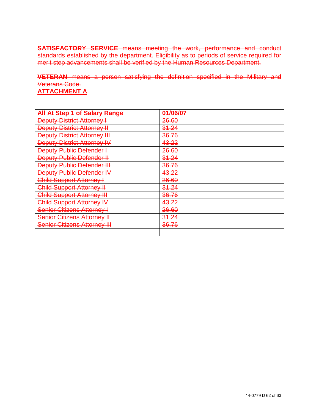**SATISFACTORY SERVICE** means meeting the work, performance and conduct standards established by the department. Eligibility as to periods of service required for merit step advancements shall be verified by the Human Resources Department.

**VETERAN** means a person satisfying the definition specified in the Military and Veterans Code. **ATTACHMENT A**

### **All At Step 1 of Salary Range 01/06/07** Peputy District Attorney | 26.60<br>
Deputy District Attorney | 31.24 **Deputy District Attorney II Deputy District Attorney III 36.76 Deputy District Attorney IV 43.22 Deputy Public Defender I 26.60 Deputy Public Defender II** 31.24 Peputy Public Defender III 196.76<br>Deputy Public Defender IV 143.22 **Deputy Public Defender IV** Child Support Attorney I 26.60 Child Support Attorney II **31.24** Child Support Attorney III 36.76 Child Support Attorney IV 13.22<br>Senior Citizens Attorney I Senior Citizens Attorney I Senior Citizens Attorney II **31.24** Senior Citizens Attorney III 36.76